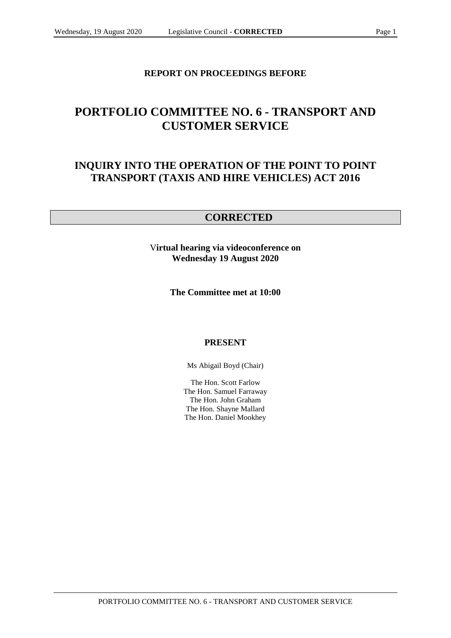## **REPORT ON PROCEEDINGS BEFORE**

# **PORTFOLIO COMMITTEE NO. 6 - TRANSPORT AND CUSTOMER SERVICE**

## **INQUIRY INTO THE OPERATION OF THE POINT TO POINT TRANSPORT (TAXIS AND HIRE VEHICLES) ACT 2016**

## **CORRECTED**

V**irtual hearing via videoconference on Wednesday 19 August 2020**

**The Committee met at 10:00**

### **PRESENT**

Ms Abigail Boyd (Chair)

The Hon. Scott Farlow The Hon. Samuel Farraway The Hon. John Graham The Hon. Shayne Mallard The Hon. Daniel Mookhey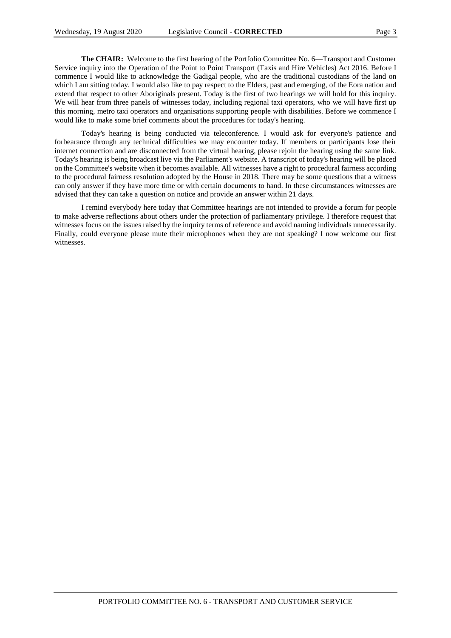**The CHAIR:** Welcome to the first hearing of the Portfolio Committee No. 6—Transport and Customer Service inquiry into the Operation of the Point to Point Transport (Taxis and Hire Vehicles) Act 2016. Before I commence I would like to acknowledge the Gadigal people, who are the traditional custodians of the land on which I am sitting today. I would also like to pay respect to the Elders, past and emerging, of the Eora nation and extend that respect to other Aboriginals present. Today is the first of two hearings we will hold for this inquiry. We will hear from three panels of witnesses today, including regional taxi operators, who we will have first up this morning, metro taxi operators and organisations supporting people with disabilities. Before we commence I would like to make some brief comments about the procedures for today's hearing.

Today's hearing is being conducted via teleconference. I would ask for everyone's patience and forbearance through any technical difficulties we may encounter today. If members or participants lose their internet connection and are disconnected from the virtual hearing, please rejoin the hearing using the same link. Today's hearing is being broadcast live via the Parliament's website. A transcript of today's hearing will be placed on the Committee's website when it becomes available. All witnesses have a right to procedural fairness according to the procedural fairness resolution adopted by the House in 2018. There may be some questions that a witness can only answer if they have more time or with certain documents to hand. In these circumstances witnesses are advised that they can take a question on notice and provide an answer within 21 days.

I remind everybody here today that Committee hearings are not intended to provide a forum for people to make adverse reflections about others under the protection of parliamentary privilege. I therefore request that witnesses focus on the issues raised by the inquiry terms of reference and avoid naming individuals unnecessarily. Finally, could everyone please mute their microphones when they are not speaking? I now welcome our first witnesses.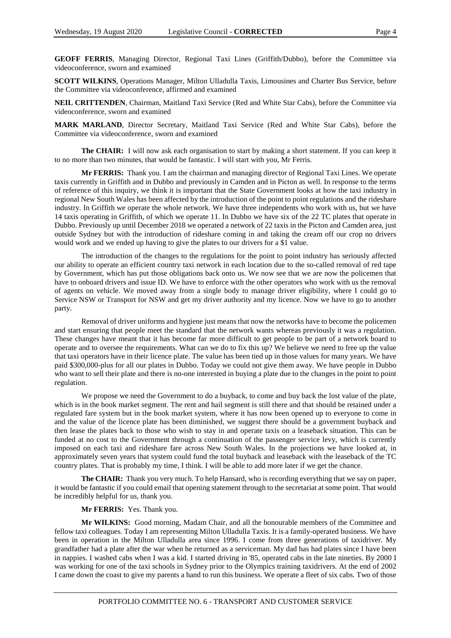**GEOFF FERRIS**, Managing Director, Regional Taxi Lines (Griffith/Dubbo), before the Committee via videoconference, sworn and examined

**SCOTT WILKINS**, Operations Manager, Milton Ulladulla Taxis, Limousines and Charter Bus Service, before the Committee via videoconference, affirmed and examined

**NEIL CRITTENDEN**, Chairman, Maitland Taxi Service (Red and White Star Cabs), before the Committee via videoconference, sworn and examined

**MARK MARLAND**, Director Secretary, Maitland Taxi Service (Red and White Star Cabs), before the Committee via videoconference, sworn and examined

**The CHAIR:** I will now ask each organisation to start by making a short statement. If you can keep it to no more than two minutes, that would be fantastic. I will start with you, Mr Ferris.

**Mr FERRIS:** Thank you. I am the chairman and managing director of Regional Taxi Lines. We operate taxis currently in Griffith and in Dubbo and previously in Camden and in Picton as well. In response to the terms of reference of this inquiry, we think it is important that the State Government looks at how the taxi industry in regional New South Wales has been affected by the introduction of the point to point regulations and the rideshare industry. In Griffith we operate the whole network. We have three independents who work with us, but we have 14 taxis operating in Griffith, of which we operate 11. In Dubbo we have six of the 22 TC plates that operate in Dubbo. Previously up until December 2018 we operated a network of 22 taxis in the Picton and Camden area, just outside Sydney but with the introduction of rideshare coming in and taking the cream off our crop no drivers would work and we ended up having to give the plates to our drivers for a \$1 value.

The introduction of the changes to the regulations for the point to point industry has seriously affected our ability to operate an efficient country taxi network in each location due to the so-called removal of red tape by Government, which has put those obligations back onto us. We now see that we are now the policemen that have to onboard drivers and issue ID. We have to enforce with the other operators who work with us the removal of agents on vehicle. We moved away from a single body to manage driver eligibility, where I could go to Service NSW or Transport for NSW and get my driver authority and my licence. Now we have to go to another party.

Removal of driver uniforms and hygiene just means that now the networks have to become the policemen and start ensuring that people meet the standard that the network wants whereas previously it was a regulation. These changes have meant that it has become far more difficult to get people to be part of a network board to operate and to oversee the requirements. What can we do to fix this up? We believe we need to free up the value that taxi operators have in their licence plate. The value has been tied up in those values for many years. We have paid \$300,000-plus for all our plates in Dubbo. Today we could not give them away. We have people in Dubbo who want to sell their plate and there is no-one interested in buying a plate due to the changes in the point to point regulation.

We propose we need the Government to do a buyback, to come and buy back the lost value of the plate, which is in the book market segment. The rent and hail segment is still there and that should be retained under a regulated fare system but in the book market system, where it has now been opened up to everyone to come in and the value of the licence plate has been diminished, we suggest there should be a government buyback and then lease the plates back to those who wish to stay in and operate taxis on a leaseback situation. This can be funded at no cost to the Government through a continuation of the passenger service levy, which is currently imposed on each taxi and rideshare fare across New South Wales. In the projections we have looked at, in approximately seven years that system could fund the total buyback and leaseback with the leaseback of the TC country plates. That is probably my time, I think. I will be able to add more later if we get the chance.

**The CHAIR:** Thank you very much. To help Hansard, who is recording everything that we say on paper, it would be fantastic if you could email that opening statement through to the secretariat at some point. That would be incredibly helpful for us, thank you.

**Mr FERRIS:** Yes. Thank you.

**Mr WILKINS:** Good morning, Madam Chair, and all the honourable members of the Committee and fellow taxi colleagues. Today I am representing Milton Ulladulla Taxis. It is a family-operated business. We have been in operation in the Milton Ulladulla area since 1996. I come from three generations of taxidriver. My grandfather had a plate after the war when he returned as a serviceman. My dad has had plates since I have been in nappies. I washed cabs when I was a kid. I started driving in '85, operated cabs in the late nineties. By 2000 I was working for one of the taxi schools in Sydney prior to the Olympics training taxidrivers. At the end of 2002 I came down the coast to give my parents a hand to run this business. We operate a fleet of six cabs. Two of those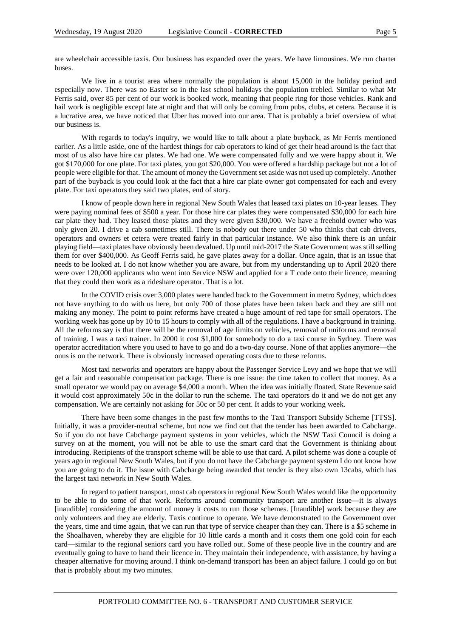are wheelchair accessible taxis. Our business has expanded over the years. We have limousines. We run charter buses.

We live in a tourist area where normally the population is about 15,000 in the holiday period and especially now. There was no Easter so in the last school holidays the population trebled. Similar to what Mr Ferris said, over 85 per cent of our work is booked work, meaning that people ring for those vehicles. Rank and hail work is negligible except late at night and that will only be coming from pubs, clubs, et cetera. Because it is a lucrative area, we have noticed that Uber has moved into our area. That is probably a brief overview of what our business is.

With regards to today's inquiry, we would like to talk about a plate buyback, as Mr Ferris mentioned earlier. As a little aside, one of the hardest things for cab operators to kind of get their head around is the fact that most of us also have hire car plates. We had one. We were compensated fully and we were happy about it. We got \$170,000 for one plate. For taxi plates, you got \$20,000. You were offered a hardship package but not a lot of people were eligible for that. The amount of money the Government set aside was not used up completely. Another part of the buyback is you could look at the fact that a hire car plate owner got compensated for each and every plate. For taxi operators they said two plates, end of story.

I know of people down here in regional New South Wales that leased taxi plates on 10-year leases. They were paying nominal fees of \$500 a year. For those hire car plates they were compensated \$30,000 for each hire car plate they had. They leased those plates and they were given \$30,000. We have a freehold owner who was only given 20. I drive a cab sometimes still. There is nobody out there under 50 who thinks that cab drivers, operators and owners et cetera were treated fairly in that particular instance. We also think there is an unfair playing field—taxi plates have obviously been devalued. Up until mid-2017 the State Government was still selling them for over \$400,000. As Geoff Ferris said, he gave plates away for a dollar. Once again, that is an issue that needs to be looked at. I do not know whether you are aware, but from my understanding up to April 2020 there were over 120,000 applicants who went into Service NSW and applied for a T code onto their licence, meaning that they could then work as a rideshare operator. That is a lot.

In the COVID crisis over 3,000 plates were handed back to the Government in metro Sydney, which does not have anything to do with us here, but only 700 of those plates have been taken back and they are still not making any money. The point to point reforms have created a huge amount of red tape for small operators. The working week has gone up by 10 to 15 hours to comply with all of the regulations. I have a background in training. All the reforms say is that there will be the removal of age limits on vehicles, removal of uniforms and removal of training. I was a taxi trainer. In 2000 it cost \$1,000 for somebody to do a taxi course in Sydney. There was operator accreditation where you used to have to go and do a two-day course. None of that applies anymore—the onus is on the network. There is obviously increased operating costs due to these reforms.

Most taxi networks and operators are happy about the Passenger Service Levy and we hope that we will get a fair and reasonable compensation package. There is one issue: the time taken to collect that money. As a small operator we would pay on average \$4,000 a month. When the idea was initially floated, State Revenue said it would cost approximately 50c in the dollar to run the scheme. The taxi operators do it and we do not get any compensation. We are certainly not asking for 50c or 50 per cent. It adds to your working week.

There have been some changes in the past few months to the Taxi Transport Subsidy Scheme [TTSS]. Initially, it was a provider-neutral scheme, but now we find out that the tender has been awarded to Cabcharge. So if you do not have Cabcharge payment systems in your vehicles, which the NSW Taxi Council is doing a survey on at the moment, you will not be able to use the smart card that the Government is thinking about introducing. Recipients of the transport scheme will be able to use that card. A pilot scheme was done a couple of years ago in regional New South Wales, but if you do not have the Cabcharge payment system I do not know how you are going to do it. The issue with Cabcharge being awarded that tender is they also own 13cabs, which has the largest taxi network in New South Wales.

In regard to patient transport, most cab operators in regional New South Wales would like the opportunity to be able to do some of that work. Reforms around community transport are another issue—it is always [inaudible] considering the amount of money it costs to run those schemes. [Inaudible] work because they are only volunteers and they are elderly. Taxis continue to operate. We have demonstrated to the Government over the years, time and time again, that we can run that type of service cheaper than they can. There is a \$5 scheme in the Shoalhaven, whereby they are eligible for 10 little cards a month and it costs them one gold coin for each card—similar to the regional seniors card you have rolled out. Some of these people live in the country and are eventually going to have to hand their licence in. They maintain their independence, with assistance, by having a cheaper alternative for moving around. I think on-demand transport has been an abject failure. I could go on but that is probably about my two minutes.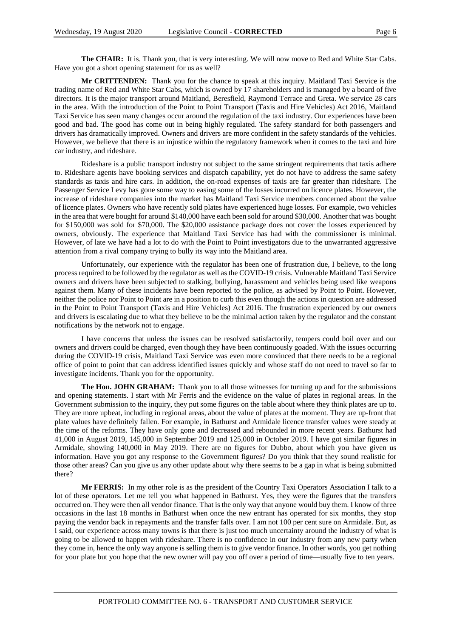**The CHAIR:** It is. Thank you, that is very interesting. We will now move to Red and White Star Cabs. Have you got a short opening statement for us as well?

**Mr CRITTENDEN:** Thank you for the chance to speak at this inquiry. Maitland Taxi Service is the trading name of Red and White Star Cabs, which is owned by 17 shareholders and is managed by a board of five directors. It is the major transport around Maitland, Beresfield, Raymond Terrace and Greta. We service 28 cars in the area. With the introduction of the Point to Point Transport (Taxis and Hire Vehicles) Act 2016, Maitland Taxi Service has seen many changes occur around the regulation of the taxi industry. Our experiences have been good and bad. The good has come out in being highly regulated. The safety standard for both passengers and drivers has dramatically improved. Owners and drivers are more confident in the safety standards of the vehicles. However, we believe that there is an injustice within the regulatory framework when it comes to the taxi and hire car industry, and rideshare.

Rideshare is a public transport industry not subject to the same stringent requirements that taxis adhere to. Rideshare agents have booking services and dispatch capability, yet do not have to address the same safety standards as taxis and hire cars. In addition, the on-road expenses of taxis are far greater than rideshare. The Passenger Service Levy has gone some way to easing some of the losses incurred on licence plates. However, the increase of rideshare companies into the market has Maitland Taxi Service members concerned about the value of licence plates. Owners who have recently sold plates have experienced huge losses. For example, two vehicles in the area that were bought for around \$140,000 have each been sold for around \$30,000. Another that was bought for \$150,000 was sold for \$70,000. The \$20,000 assistance package does not cover the losses experienced by owners, obviously. The experience that Maitland Taxi Service has had with the commissioner is minimal. However, of late we have had a lot to do with the Point to Point investigators due to the unwarranted aggressive attention from a rival company trying to bully its way into the Maitland area.

Unfortunately, our experience with the regulator has been one of frustration due, I believe, to the long process required to be followed by the regulator as well as the COVID-19 crisis. Vulnerable Maitland Taxi Service owners and drivers have been subjected to stalking, bullying, harassment and vehicles being used like weapons against them. Many of these incidents have been reported to the police, as advised by Point to Point. However, neither the police nor Point to Point are in a position to curb this even though the actions in question are addressed in the Point to Point Transport (Taxis and Hire Vehicles) Act 2016. The frustration experienced by our owners and drivers is escalating due to what they believe to be the minimal action taken by the regulator and the constant notifications by the network not to engage.

I have concerns that unless the issues can be resolved satisfactorily, tempers could boil over and our owners and drivers could be charged, even though they have been continuously goaded. With the issues occurring during the COVID-19 crisis, Maitland Taxi Service was even more convinced that there needs to be a regional office of point to point that can address identified issues quickly and whose staff do not need to travel so far to investigate incidents. Thank you for the opportunity.

**The Hon. JOHN GRAHAM:** Thank you to all those witnesses for turning up and for the submissions and opening statements. I start with Mr Ferris and the evidence on the value of plates in regional areas. In the Government submission to the inquiry, they put some figures on the table about where they think plates are up to. They are more upbeat, including in regional areas, about the value of plates at the moment. They are up-front that plate values have definitely fallen. For example, in Bathurst and Armidale licence transfer values were steady at the time of the reforms. They have only gone and decreased and rebounded in more recent years. Bathurst had 41,000 in August 2019, 145,000 in September 2019 and 125,000 in October 2019. I have got similar figures in Armidale, showing 140,000 in May 2019. There are no figures for Dubbo, about which you have given us information. Have you got any response to the Government figures? Do you think that they sound realistic for those other areas? Can you give us any other update about why there seems to be a gap in what is being submitted there?

**Mr FERRIS:** In my other role is as the president of the Country Taxi Operators Association I talk to a lot of these operators. Let me tell you what happened in Bathurst. Yes, they were the figures that the transfers occurred on. They were then all vendor finance. That is the only way that anyone would buy them. I know of three occasions in the last 18 months in Bathurst when once the new entrant has operated for six months, they stop paying the vendor back in repayments and the transfer falls over. I am not 100 per cent sure on Armidale. But, as I said, our experience across many towns is that there is just too much uncertainty around the industry of what is going to be allowed to happen with rideshare. There is no confidence in our industry from any new party when they come in, hence the only way anyone is selling them is to give vendor finance. In other words, you get nothing for your plate but you hope that the new owner will pay you off over a period of time—usually five to ten years.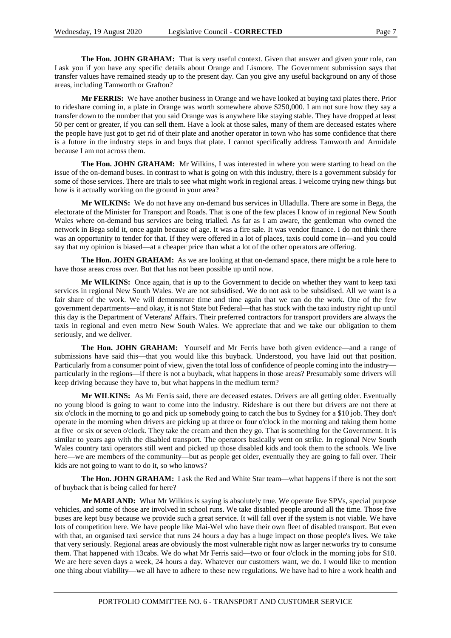**The Hon. JOHN GRAHAM:** That is very useful context. Given that answer and given your role, can I ask you if you have any specific details about Orange and Lismore. The Government submission says that transfer values have remained steady up to the present day. Can you give any useful background on any of those areas, including Tamworth or Grafton?

**Mr FERRIS:** We have another business in Orange and we have looked at buying taxi plates there. Prior to rideshare coming in, a plate in Orange was worth somewhere above \$250,000. I am not sure how they say a transfer down to the number that you said Orange was is anywhere like staying stable. They have dropped at least 50 per cent or greater, if you can sell them. Have a look at those sales, many of them are deceased estates where the people have just got to get rid of their plate and another operator in town who has some confidence that there is a future in the industry steps in and buys that plate. I cannot specifically address Tamworth and Armidale because I am not across them.

**The Hon. JOHN GRAHAM:** Mr Wilkins, I was interested in where you were starting to head on the issue of the on-demand buses. In contrast to what is going on with this industry, there is a government subsidy for some of those services. There are trials to see what might work in regional areas. I welcome trying new things but how is it actually working on the ground in your area?

**Mr WILKINS:** We do not have any on-demand bus services in Ulladulla. There are some in Bega, the electorate of the Minister for Transport and Roads. That is one of the few places I know of in regional New South Wales where on-demand bus services are being trialled. As far as I am aware, the gentleman who owned the network in Bega sold it, once again because of age. It was a fire sale. It was vendor finance. I do not think there was an opportunity to tender for that. If they were offered in a lot of places, taxis could come in—and you could say that my opinion is biased—at a cheaper price than what a lot of the other operators are offering.

**The Hon. JOHN GRAHAM:** As we are looking at that on-demand space, there might be a role here to have those areas cross over. But that has not been possible up until now.

**Mr WILKINS:** Once again, that is up to the Government to decide on whether they want to keep taxi services in regional New South Wales. We are not subsidised. We do not ask to be subsidised. All we want is a fair share of the work. We will demonstrate time and time again that we can do the work. One of the few government departments—and okay, it is not State but Federal—that has stuck with the taxi industry right up until this day is the Department of Veterans' Affairs. Their preferred contractors for transport providers are always the taxis in regional and even metro New South Wales. We appreciate that and we take our obligation to them seriously, and we deliver.

**The Hon. JOHN GRAHAM:** Yourself and Mr Ferris have both given evidence—and a range of submissions have said this—that you would like this buyback. Understood, you have laid out that position. Particularly from a consumer point of view, given the total loss of confidence of people coming into the industry particularly in the regions—if there is not a buyback, what happens in those areas? Presumably some drivers will keep driving because they have to, but what happens in the medium term?

**Mr WILKINS:** As Mr Ferris said, there are deceased estates. Drivers are all getting older. Eventually no young blood is going to want to come into the industry. Rideshare is out there but drivers are not there at six o'clock in the morning to go and pick up somebody going to catch the bus to Sydney for a \$10 job. They don't operate in the morning when drivers are picking up at three or four o'clock in the morning and taking them home at five or six or seven o'clock. They take the cream and then they go. That is something for the Government. It is similar to years ago with the disabled transport. The operators basically went on strike. In regional New South Wales country taxi operators still went and picked up those disabled kids and took them to the schools. We live here—we are members of the community—but as people get older, eventually they are going to fall over. Their kids are not going to want to do it, so who knows?

**The Hon. JOHN GRAHAM:** I ask the Red and White Star team—what happens if there is not the sort of buyback that is being called for here?

**Mr MARLAND:** What Mr Wilkins is saying is absolutely true. We operate five SPVs, special purpose vehicles, and some of those are involved in school runs. We take disabled people around all the time. Those five buses are kept busy because we provide such a great service. It will fall over if the system is not viable. We have lots of competition here. We have people like Mai-Wel who have their own fleet of disabled transport. But even with that, an organised taxi service that runs 24 hours a day has a huge impact on those people's lives. We take that very seriously. Regional areas are obviously the most vulnerable right now as larger networks try to consume them. That happened with 13cabs. We do what Mr Ferris said—two or four o'clock in the morning jobs for \$10. We are here seven days a week, 24 hours a day. Whatever our customers want, we do. I would like to mention one thing about viability—we all have to adhere to these new regulations. We have had to hire a work health and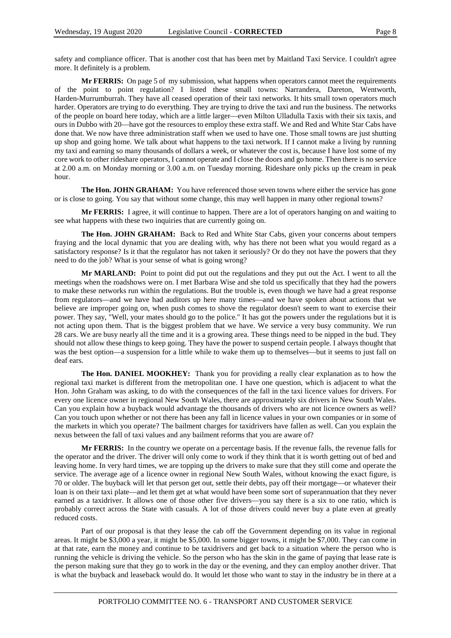safety and compliance officer. That is another cost that has been met by Maitland Taxi Service. I couldn't agree more. It definitely is a problem.

**Mr FERRIS:** On page 5 of my submission, what happens when operators cannot meet the requirements of the point to point regulation? I listed these small towns: Narrandera, Dareton, Wentworth, Harden-Murrumburrah. They have all ceased operation of their taxi networks. It hits small town operators much harder. Operators are trying to do everything. They are trying to drive the taxi and run the business. The networks of the people on board here today, which are a little larger—even Milton Ulladulla Taxis with their six taxis, and ours in Dubbo with 20—have got the resources to employ these extra staff. We and Red and White Star Cabs have done that. We now have three administration staff when we used to have one. Those small towns are just shutting up shop and going home. We talk about what happens to the taxi network. If I cannot make a living by running my taxi and earning so many thousands of dollars a week, or whatever the cost is, because I have lost some of my core work to other rideshare operators, I cannot operate and I close the doors and go home. Then there is no service at 2.00 a.m. on Monday morning or 3.00 a.m. on Tuesday morning. Rideshare only picks up the cream in peak hour.

The Hon. JOHN GRAHAM: You have referenced those seven towns where either the service has gone or is close to going. You say that without some change, this may well happen in many other regional towns?

**Mr FERRIS:** I agree, it will continue to happen. There are a lot of operators hanging on and waiting to see what happens with these two inquiries that are currently going on.

**The Hon. JOHN GRAHAM:** Back to Red and White Star Cabs, given your concerns about tempers fraying and the local dynamic that you are dealing with, why has there not been what you would regard as a satisfactory response? Is it that the regulator has not taken it seriously? Or do they not have the powers that they need to do the job? What is your sense of what is going wrong?

**Mr MARLAND:** Point to point did put out the regulations and they put out the Act. I went to all the meetings when the roadshows were on. I met Barbara Wise and she told us specifically that they had the powers to make these networks run within the regulations. But the trouble is, even though we have had a great response from regulators—and we have had auditors up here many times—and we have spoken about actions that we believe are improper going on, when push comes to shove the regulator doesn't seem to want to exercise their power. They say, "Well, your mates should go to the police." It has got the powers under the regulations but it is not acting upon them. That is the biggest problem that we have. We service a very busy community. We run 28 cars. We are busy nearly all the time and it is a growing area. These things need to be nipped in the bud. They should not allow these things to keep going. They have the power to suspend certain people. I always thought that was the best option—a suspension for a little while to wake them up to themselves—but it seems to just fall on deaf ears.

**The Hon. DANIEL MOOKHEY:** Thank you for providing a really clear explanation as to how the regional taxi market is different from the metropolitan one. I have one question, which is adjacent to what the Hon. John Graham was asking, to do with the consequences of the fall in the taxi licence values for drivers. For every one licence owner in regional New South Wales, there are approximately six drivers in New South Wales. Can you explain how a buyback would advantage the thousands of drivers who are not licence owners as well? Can you touch upon whether or not there has been any fall in licence values in your own companies or in some of the markets in which you operate? The bailment charges for taxidrivers have fallen as well. Can you explain the nexus between the fall of taxi values and any bailment reforms that you are aware of?

**Mr FERRIS:** In the country we operate on a percentage basis. If the revenue falls, the revenue falls for the operator and the driver. The driver will only come to work if they think that it is worth getting out of bed and leaving home. In very hard times, we are topping up the drivers to make sure that they still come and operate the service. The average age of a licence owner in regional New South Wales, without knowing the exact figure, is 70 or older. The buyback will let that person get out, settle their debts, pay off their mortgage—or whatever their loan is on their taxi plate—and let them get at what would have been some sort of superannuation that they never earned as a taxidriver. It allows one of those other five drivers—you say there is a six to one ratio, which is probably correct across the State with casuals. A lot of those drivers could never buy a plate even at greatly reduced costs.

Part of our proposal is that they lease the cab off the Government depending on its value in regional areas. It might be \$3,000 a year, it might be \$5,000. In some bigger towns, it might be \$7,000. They can come in at that rate, earn the money and continue to be taxidrivers and get back to a situation where the person who is running the vehicle is driving the vehicle. So the person who has the skin in the game of paying that lease rate is the person making sure that they go to work in the day or the evening, and they can employ another driver. That is what the buyback and leaseback would do. It would let those who want to stay in the industry be in there at a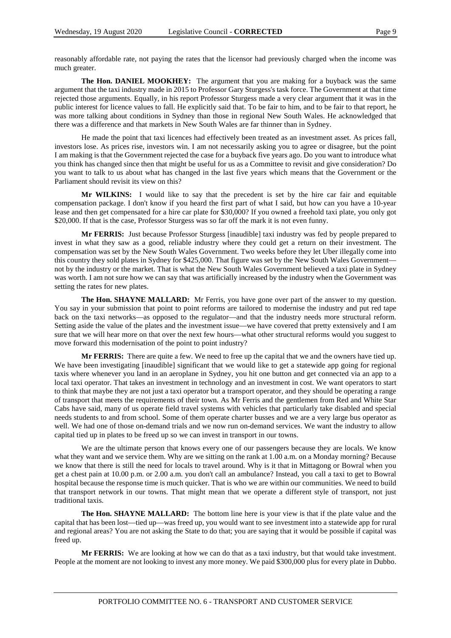reasonably affordable rate, not paying the rates that the licensor had previously charged when the income was much greater.

**The Hon. DANIEL MOOKHEY:** The argument that you are making for a buyback was the same argument that the taxi industry made in 2015 to Professor Gary Sturgess's task force. The Government at that time rejected those arguments. Equally, in his report Professor Sturgess made a very clear argument that it was in the public interest for licence values to fall. He explicitly said that. To be fair to him, and to be fair to that report, he was more talking about conditions in Sydney than those in regional New South Wales. He acknowledged that there was a difference and that markets in New South Wales are far thinner than in Sydney.

He made the point that taxi licences had effectively been treated as an investment asset. As prices fall, investors lose. As prices rise, investors win. I am not necessarily asking you to agree or disagree, but the point I am making is that the Government rejected the case for a buyback five years ago. Do you want to introduce what you think has changed since then that might be useful for us as a Committee to revisit and give consideration? Do you want to talk to us about what has changed in the last five years which means that the Government or the Parliament should revisit its view on this?

**Mr WILKINS:** I would like to say that the precedent is set by the hire car fair and equitable compensation package. I don't know if you heard the first part of what I said, but how can you have a 10-year lease and then get compensated for a hire car plate for \$30,000? If you owned a freehold taxi plate, you only got \$20,000. If that is the case, Professor Sturgess was so far off the mark it is not even funny.

**Mr FERRIS:** Just because Professor Sturgess [inaudible] taxi industry was fed by people prepared to invest in what they saw as a good, reliable industry where they could get a return on their investment. The compensation was set by the New South Wales Government. Two weeks before they let Uber illegally come into this country they sold plates in Sydney for \$425,000. That figure was set by the New South Wales Government not by the industry or the market. That is what the New South Wales Government believed a taxi plate in Sydney was worth. I am not sure how we can say that was artificially increased by the industry when the Government was setting the rates for new plates.

**The Hon. SHAYNE MALLARD:** Mr Ferris, you have gone over part of the answer to my question. You say in your submission that point to point reforms are tailored to modernise the industry and put red tape back on the taxi networks—as opposed to the regulator—and that the industry needs more structural reform. Setting aside the value of the plates and the investment issue—we have covered that pretty extensively and I am sure that we will hear more on that over the next few hours—what other structural reforms would you suggest to move forward this modernisation of the point to point industry?

**Mr FERRIS:** There are quite a few. We need to free up the capital that we and the owners have tied up. We have been investigating [inaudible] significant that we would like to get a statewide app going for regional taxis where whenever you land in an aeroplane in Sydney, you hit one button and get connected via an app to a local taxi operator. That takes an investment in technology and an investment in cost. We want operators to start to think that maybe they are not just a taxi operator but a transport operator, and they should be operating a range of transport that meets the requirements of their town. As Mr Ferris and the gentlemen from Red and White Star Cabs have said, many of us operate field travel systems with vehicles that particularly take disabled and special needs students to and from school. Some of them operate charter busses and we are a very large bus operator as well. We had one of those on-demand trials and we now run on-demand services. We want the industry to allow capital tied up in plates to be freed up so we can invest in transport in our towns.

We are the ultimate person that knows every one of our passengers because they are locals. We know what they want and we service them. Why are we sitting on the rank at 1.00 a.m. on a Monday morning? Because we know that there is still the need for locals to travel around. Why is it that in Mittagong or Bowral when you get a chest pain at 10.00 p.m. or 2.00 a.m. you don't call an ambulance? Instead, you call a taxi to get to Bowral hospital because the response time is much quicker. That is who we are within our communities. We need to build that transport network in our towns. That might mean that we operate a different style of transport, not just traditional taxis.

**The Hon. SHAYNE MALLARD:** The bottom line here is your view is that if the plate value and the capital that has been lost—tied up—was freed up, you would want to see investment into a statewide app for rural and regional areas? You are not asking the State to do that; you are saying that it would be possible if capital was freed up.

**Mr FERRIS:** We are looking at how we can do that as a taxi industry, but that would take investment. People at the moment are not looking to invest any more money. We paid \$300,000 plus for every plate in Dubbo.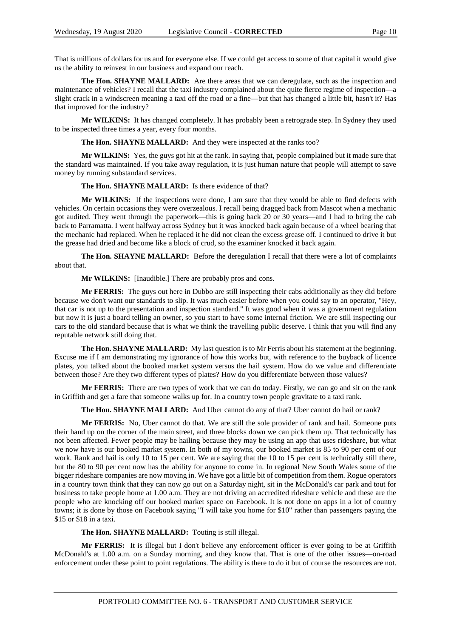That is millions of dollars for us and for everyone else. If we could get access to some of that capital it would give us the ability to reinvest in our business and expand our reach.

**The Hon. SHAYNE MALLARD:** Are there areas that we can deregulate, such as the inspection and maintenance of vehicles? I recall that the taxi industry complained about the quite fierce regime of inspection—a slight crack in a windscreen meaning a taxi off the road or a fine—but that has changed a little bit, hasn't it? Has that improved for the industry?

**Mr WILKINS:** It has changed completely. It has probably been a retrograde step. In Sydney they used to be inspected three times a year, every four months.

**The Hon. SHAYNE MALLARD:** And they were inspected at the ranks too?

**Mr WILKINS:** Yes, the guys got hit at the rank. In saying that, people complained but it made sure that the standard was maintained. If you take away regulation, it is just human nature that people will attempt to save money by running substandard services.

#### **The Hon. SHAYNE MALLARD:** Is there evidence of that?

**Mr WILKINS:** If the inspections were done, I am sure that they would be able to find defects with vehicles. On certain occasions they were overzealous. I recall being dragged back from Mascot when a mechanic got audited. They went through the paperwork—this is going back 20 or 30 years—and I had to bring the cab back to Parramatta. I went halfway across Sydney but it was knocked back again because of a wheel bearing that the mechanic had replaced. When he replaced it he did not clean the excess grease off. I continued to drive it but the grease had dried and become like a block of crud, so the examiner knocked it back again.

**The Hon. SHAYNE MALLARD:** Before the deregulation I recall that there were a lot of complaints about that.

**Mr WILKINS:** [Inaudible.] There are probably pros and cons.

**Mr FERRIS:** The guys out here in Dubbo are still inspecting their cabs additionally as they did before because we don't want our standards to slip. It was much easier before when you could say to an operator, "Hey, that car is not up to the presentation and inspection standard." It was good when it was a government regulation but now it is just a board telling an owner, so you start to have some internal friction. We are still inspecting our cars to the old standard because that is what we think the travelling public deserve. I think that you will find any reputable network still doing that.

**The Hon. SHAYNE MALLARD:** My last question is to Mr Ferris about his statement at the beginning. Excuse me if I am demonstrating my ignorance of how this works but, with reference to the buyback of licence plates, you talked about the booked market system versus the hail system. How do we value and differentiate between those? Are they two different types of plates? How do you differentiate between those values?

**Mr FERRIS:** There are two types of work that we can do today. Firstly, we can go and sit on the rank in Griffith and get a fare that someone walks up for. In a country town people gravitate to a taxi rank.

**The Hon. SHAYNE MALLARD:** And Uber cannot do any of that? Uber cannot do hail or rank?

**Mr FERRIS:** No, Uber cannot do that. We are still the sole provider of rank and hail. Someone puts their hand up on the corner of the main street, and three blocks down we can pick them up. That technically has not been affected. Fewer people may be hailing because they may be using an app that uses rideshare, but what we now have is our booked market system. In both of my towns, our booked market is 85 to 90 per cent of our work. Rank and hail is only 10 to 15 per cent. We are saying that the 10 to 15 per cent is technically still there, but the 80 to 90 per cent now has the ability for anyone to come in. In regional New South Wales some of the bigger rideshare companies are now moving in. We have got a little bit of competition from them. Rogue operators in a country town think that they can now go out on a Saturday night, sit in the McDonald's car park and tout for business to take people home at 1.00 a.m. They are not driving an accredited rideshare vehicle and these are the people who are knocking off our booked market space on Facebook. It is not done on apps in a lot of country towns; it is done by those on Facebook saying "I will take you home for \$10" rather than passengers paying the \$15 or \$18 in a taxi.

**The Hon. SHAYNE MALLARD:** Touting is still illegal.

**Mr FERRIS:** It is illegal but I don't believe any enforcement officer is ever going to be at Griffith McDonald's at 1.00 a.m. on a Sunday morning, and they know that. That is one of the other issues—on-road enforcement under these point to point regulations. The ability is there to do it but of course the resources are not.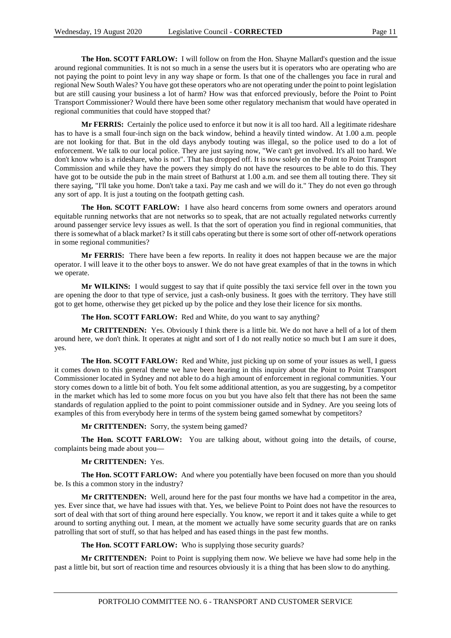**The Hon. SCOTT FARLOW:** I will follow on from the Hon. Shayne Mallard's question and the issue around regional communities. It is not so much in a sense the users but it is operators who are operating who are not paying the point to point levy in any way shape or form. Is that one of the challenges you face in rural and regional New South Wales? You have got these operators who are not operating under the point to point legislation but are still causing your business a lot of harm? How was that enforced previously, before the Point to Point Transport Commissioner? Would there have been some other regulatory mechanism that would have operated in regional communities that could have stopped that?

**Mr FERRIS:** Certainly the police used to enforce it but now it is all too hard. All a legitimate rideshare has to have is a small four-inch sign on the back window, behind a heavily tinted window. At 1.00 a.m. people are not looking for that. But in the old days anybody touting was illegal, so the police used to do a lot of enforcement. We talk to our local police. They are just saying now, "We can't get involved. It's all too hard. We don't know who is a rideshare, who is not". That has dropped off. It is now solely on the Point to Point Transport Commission and while they have the powers they simply do not have the resources to be able to do this. They have got to be outside the pub in the main street of Bathurst at 1.00 a.m. and see them all touting there. They sit there saying, "I'll take you home. Don't take a taxi. Pay me cash and we will do it." They do not even go through any sort of app. It is just a touting on the footpath getting cash.

**The Hon. SCOTT FARLOW:** I have also heard concerns from some owners and operators around equitable running networks that are not networks so to speak, that are not actually regulated networks currently around passenger service levy issues as well. Is that the sort of operation you find in regional communities, that there is somewhat of a black market? Is it still cabs operating but there is some sort of other off-network operations in some regional communities?

**Mr FERRIS:** There have been a few reports. In reality it does not happen because we are the major operator. I will leave it to the other boys to answer. We do not have great examples of that in the towns in which we operate.

Mr WILKINS: I would suggest to say that if quite possibly the taxi service fell over in the town you are opening the door to that type of service, just a cash-only business. It goes with the territory. They have still got to get home, otherwise they get picked up by the police and they lose their licence for six months.

**The Hon. SCOTT FARLOW:** Red and White, do you want to say anything?

**Mr CRITTENDEN:** Yes. Obviously I think there is a little bit. We do not have a hell of a lot of them around here, we don't think. It operates at night and sort of I do not really notice so much but I am sure it does, yes.

**The Hon. SCOTT FARLOW:** Red and White, just picking up on some of your issues as well, I guess it comes down to this general theme we have been hearing in this inquiry about the Point to Point Transport Commissioner located in Sydney and not able to do a high amount of enforcement in regional communities. Your story comes down to a little bit of both. You felt some additional attention, as you are suggesting, by a competitor in the market which has led to some more focus on you but you have also felt that there has not been the same standards of regulation applied to the point to point commissioner outside and in Sydney. Are you seeing lots of examples of this from everybody here in terms of the system being gamed somewhat by competitors?

**Mr CRITTENDEN:** Sorry, the system being gamed?

**The Hon. SCOTT FARLOW:** You are talking about, without going into the details, of course, complaints being made about you—

#### **Mr CRITTENDEN:** Yes.

**The Hon. SCOTT FARLOW:** And where you potentially have been focused on more than you should be. Is this a common story in the industry?

**Mr CRITTENDEN:** Well, around here for the past four months we have had a competitor in the area, yes. Ever since that, we have had issues with that. Yes, we believe Point to Point does not have the resources to sort of deal with that sort of thing around here especially. You know, we report it and it takes quite a while to get around to sorting anything out. I mean, at the moment we actually have some security guards that are on ranks patrolling that sort of stuff, so that has helped and has eased things in the past few months.

**The Hon. SCOTT FARLOW:** Who is supplying those security guards?

**Mr CRITTENDEN:** Point to Point is supplying them now. We believe we have had some help in the past a little bit, but sort of reaction time and resources obviously it is a thing that has been slow to do anything.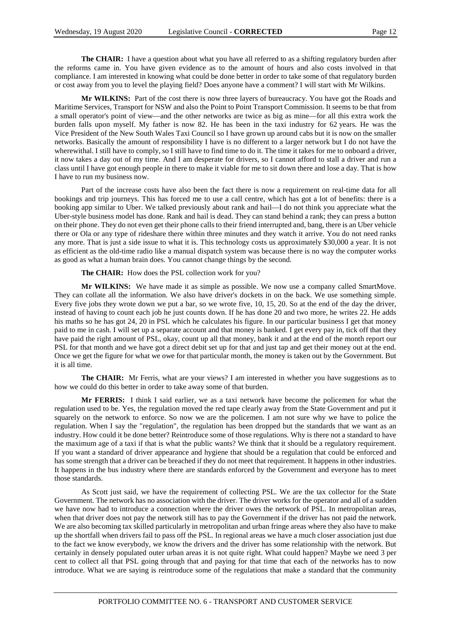**The CHAIR:** I have a question about what you have all referred to as a shifting regulatory burden after the reforms came in. You have given evidence as to the amount of hours and also costs involved in that compliance. I am interested in knowing what could be done better in order to take some of that regulatory burden or cost away from you to level the playing field? Does anyone have a comment? I will start with Mr Wilkins.

**Mr WILKINS:** Part of the cost there is now three layers of bureaucracy. You have got the Roads and Maritime Services, Transport for NSW and also the Point to Point Transport Commission. It seems to be that from a small operator's point of view—and the other networks are twice as big as mine—for all this extra work the burden falls upon myself. My father is now 82. He has been in the taxi industry for 62 years. He was the Vice President of the New South Wales Taxi Council so I have grown up around cabs but it is now on the smaller networks. Basically the amount of responsibility I have is no different to a larger network but I do not have the wherewithal. I still have to comply, so I still have to find time to do it. The time it takes for me to onboard a driver, it now takes a day out of my time. And I am desperate for drivers, so I cannot afford to stall a driver and run a class until I have got enough people in there to make it viable for me to sit down there and lose a day. That is how I have to run my business now.

Part of the increase costs have also been the fact there is now a requirement on real-time data for all bookings and trip journeys. This has forced me to use a call centre, which has got a lot of benefits: there is a booking app similar to Uber. We talked previously about rank and hail—I do not think you appreciate what the Uber-style business model has done. Rank and hail is dead. They can stand behind a rank; they can press a button on their phone. They do not even get their phone calls to their friend interrupted and, bang, there is an Uber vehicle there or Ola or any type of rideshare there within three minutes and they watch it arrive. You do not need ranks any more. That is just a side issue to what it is. This technology costs us approximately \$30,000 a year. It is not as efficient as the old-time radio like a manual dispatch system was because there is no way the computer works as good as what a human brain does. You cannot change things by the second.

**The CHAIR:** How does the PSL collection work for you?

**Mr WILKINS:** We have made it as simple as possible. We now use a company called SmartMove. They can collate all the information. We also have driver's dockets in on the back. We use something simple. Every five jobs they wrote down we put a bar, so we wrote five, 10, 15, 20. So at the end of the day the driver, instead of having to count each job he just counts down. If he has done 20 and two more, he writes 22. He adds his maths so he has got 24, 20 in PSL which he calculates his figure. In our particular business I get that money paid to me in cash. I will set up a separate account and that money is banked. I get every pay in, tick off that they have paid the right amount of PSL, okay, count up all that money, bank it and at the end of the month report our PSL for that month and we have got a direct debit set up for that and just tap and get their money out at the end. Once we get the figure for what we owe for that particular month, the money is taken out by the Government. But it is all time.

**The CHAIR:** Mr Ferris, what are your views? I am interested in whether you have suggestions as to how we could do this better in order to take away some of that burden.

**Mr FERRIS:** I think I said earlier, we as a taxi network have become the policemen for what the regulation used to be. Yes, the regulation moved the red tape clearly away from the State Government and put it squarely on the network to enforce. So now we are the policemen. I am not sure why we have to police the regulation. When I say the "regulation", the regulation has been dropped but the standards that we want as an industry. How could it be done better? Reintroduce some of those regulations. Why is there not a standard to have the maximum age of a taxi if that is what the public wants? We think that it should be a regulatory requirement. If you want a standard of driver appearance and hygiene that should be a regulation that could be enforced and has some strength that a driver can be breached if they do not meet that requirement. It happens in other industries. It happens in the bus industry where there are standards enforced by the Government and everyone has to meet those standards.

As Scott just said, we have the requirement of collecting PSL. We are the tax collector for the State Government. The network has no association with the driver. The driver works for the operator and all of a sudden we have now had to introduce a connection where the driver owes the network of PSL. In metropolitan areas, when that driver does not pay the network still has to pay the Government if the driver has not paid the network. We are also becoming tax skilled particularly in metropolitan and urban fringe areas where they also have to make up the shortfall when drivers fail to pass off the PSL. In regional areas we have a much closer association just due to the fact we know everybody, we know the drivers and the driver has some relationship with the network. But certainly in densely populated outer urban areas it is not quite right. What could happen? Maybe we need 3 per cent to collect all that PSL going through that and paying for that time that each of the networks has to now introduce. What we are saying is reintroduce some of the regulations that make a standard that the community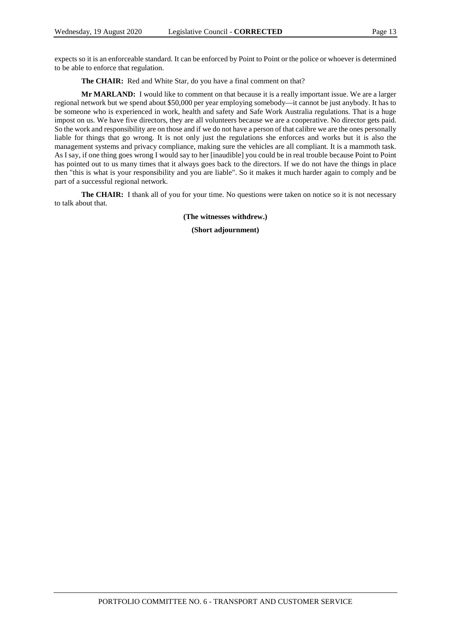expects so it is an enforceable standard. It can be enforced by Point to Point or the police or whoever is determined to be able to enforce that regulation.

**The CHAIR:** Red and White Star, do you have a final comment on that?

**Mr MARLAND:** I would like to comment on that because it is a really important issue. We are a larger regional network but we spend about \$50,000 per year employing somebody—it cannot be just anybody. It has to be someone who is experienced in work, health and safety and Safe Work Australia regulations. That is a huge impost on us. We have five directors, they are all volunteers because we are a cooperative. No director gets paid. So the work and responsibility are on those and if we do not have a person of that calibre we are the ones personally liable for things that go wrong. It is not only just the regulations she enforces and works but it is also the management systems and privacy compliance, making sure the vehicles are all compliant. It is a mammoth task. As I say, if one thing goes wrong I would say to her [inaudible] you could be in real trouble because Point to Point has pointed out to us many times that it always goes back to the directors. If we do not have the things in place then "this is what is your responsibility and you are liable". So it makes it much harder again to comply and be part of a successful regional network.

**The CHAIR:** I thank all of you for your time. No questions were taken on notice so it is not necessary to talk about that.

**(The witnesses withdrew.)**

**(Short adjournment)**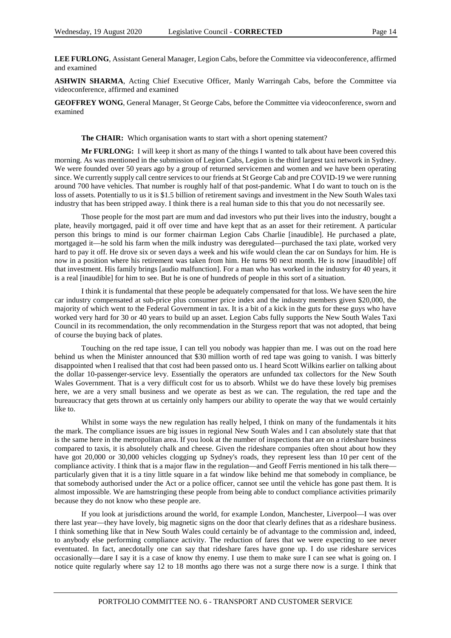**LEE FURLONG**, Assistant General Manager, Legion Cabs, before the Committee via videoconference, affirmed and examined

**ASHWIN SHARMA**, Acting Chief Executive Officer, Manly Warringah Cabs, before the Committee via videoconference, affirmed and examined

**GEOFFREY WONG**, General Manager, St George Cabs, before the Committee via videoconference, sworn and examined

**The CHAIR:** Which organisation wants to start with a short opening statement?

**Mr FURLONG:** I will keep it short as many of the things I wanted to talk about have been covered this morning. As was mentioned in the submission of Legion Cabs, Legion is the third largest taxi network in Sydney. We were founded over 50 years ago by a group of returned servicemen and women and we have been operating since. We currently supply call centre services to our friends at St George Cab and pre COVID-19 we were running around 700 have vehicles. That number is roughly half of that post-pandemic. What I do want to touch on is the loss of assets. Potentially to us it is \$1.5 billion of retirement savings and investment in the New South Wales taxi industry that has been stripped away. I think there is a real human side to this that you do not necessarily see.

Those people for the most part are mum and dad investors who put their lives into the industry, bought a plate, heavily mortgaged, paid it off over time and have kept that as an asset for their retirement. A particular person this brings to mind is our former chairman Legion Cabs Charlie [inaudible]. He purchased a plate, mortgaged it—he sold his farm when the milk industry was deregulated—purchased the taxi plate, worked very hard to pay it off. He drove six or seven days a week and his wife would clean the car on Sundays for him. He is now in a position where his retirement was taken from him. He turns 90 next month. He is now [inaudible] off that investment. His family brings [audio malfunction]. For a man who has worked in the industry for 40 years, it is a real [inaudible] for him to see. But he is one of hundreds of people in this sort of a situation.

I think it is fundamental that these people be adequately compensated for that loss. We have seen the hire car industry compensated at sub-price plus consumer price index and the industry members given \$20,000, the majority of which went to the Federal Government in tax. It is a bit of a kick in the guts for these guys who have worked very hard for 30 or 40 years to build up an asset. Legion Cabs fully supports the New South Wales Taxi Council in its recommendation, the only recommendation in the Sturgess report that was not adopted, that being of course the buying back of plates.

Touching on the red tape issue, I can tell you nobody was happier than me. I was out on the road here behind us when the Minister announced that \$30 million worth of red tape was going to vanish. I was bitterly disappointed when I realised that that cost had been passed onto us. I heard Scott Wilkins earlier on talking about the dollar 10-passenger-service levy. Essentially the operators are unfunded tax collectors for the New South Wales Government. That is a very difficult cost for us to absorb. Whilst we do have these lovely big premises here, we are a very small business and we operate as best as we can. The regulation, the red tape and the bureaucracy that gets thrown at us certainly only hampers our ability to operate the way that we would certainly like to.

Whilst in some ways the new regulation has really helped, I think on many of the fundamentals it hits the mark. The compliance issues are big issues in regional New South Wales and I can absolutely state that that is the same here in the metropolitan area. If you look at the number of inspections that are on a rideshare business compared to taxis, it is absolutely chalk and cheese. Given the rideshare companies often shout about how they have got 20,000 or 30,000 vehicles clogging up Sydney's roads, they represent less than 10 per cent of the compliance activity. I think that is a major flaw in the regulation—and Geoff Ferris mentioned in his talk there particularly given that it is a tiny little square in a fat window like behind me that somebody in compliance, be that somebody authorised under the Act or a police officer, cannot see until the vehicle has gone past them. It is almost impossible. We are hamstringing these people from being able to conduct compliance activities primarily because they do not know who these people are.

If you look at jurisdictions around the world, for example London, Manchester, Liverpool—I was over there last year—they have lovely, big magnetic signs on the door that clearly defines that as a rideshare business. I think something like that in New South Wales could certainly be of advantage to the commission and, indeed, to anybody else performing compliance activity. The reduction of fares that we were expecting to see never eventuated. In fact, anecdotally one can say that rideshare fares have gone up. I do use rideshare services occasionally—dare I say it is a case of know thy enemy. I use them to make sure I can see what is going on. I notice quite regularly where say 12 to 18 months ago there was not a surge there now is a surge. I think that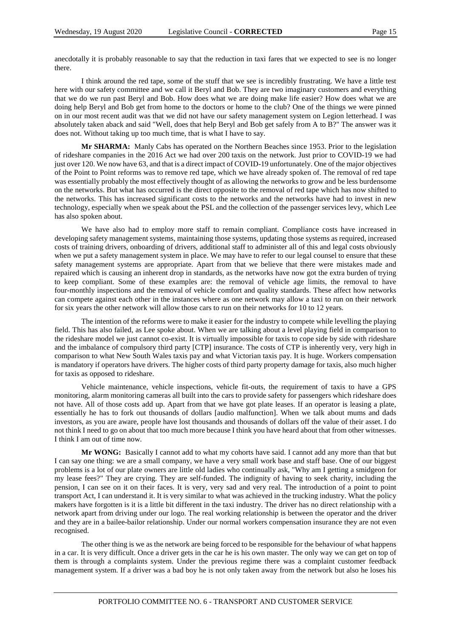anecdotally it is probably reasonable to say that the reduction in taxi fares that we expected to see is no longer there.

I think around the red tape, some of the stuff that we see is incredibly frustrating. We have a little test here with our safety committee and we call it Beryl and Bob. They are two imaginary customers and everything that we do we run past Beryl and Bob. How does what we are doing make life easier? How does what we are doing help Beryl and Bob get from home to the doctors or home to the club? One of the things we were pinned on in our most recent audit was that we did not have our safety management system on Legion letterhead. I was absolutely taken aback and said "Well, does that help Beryl and Bob get safely from A to B?" The answer was it does not. Without taking up too much time, that is what I have to say.

**Mr SHARMA:** Manly Cabs has operated on the Northern Beaches since 1953. Prior to the legislation of rideshare companies in the 2016 Act we had over 200 taxis on the network. Just prior to COVID-19 we had just over 120. We now have 63, and that is a direct impact of COVID-19 unfortunately. One of the major objectives of the Point to Point reforms was to remove red tape, which we have already spoken of. The removal of red tape was essentially probably the most effectively thought of as allowing the networks to grow and be less burdensome on the networks. But what has occurred is the direct opposite to the removal of red tape which has now shifted to the networks. This has increased significant costs to the networks and the networks have had to invest in new technology, especially when we speak about the PSL and the collection of the passenger services levy, which Lee has also spoken about.

We have also had to employ more staff to remain compliant. Compliance costs have increased in developing safety management systems, maintaining those systems, updating those systems as required, increased costs of training drivers, onboarding of drivers, additional staff to administer all of this and legal costs obviously when we put a safety management system in place. We may have to refer to our legal counsel to ensure that these safety management systems are appropriate. Apart from that we believe that there were mistakes made and repaired which is causing an inherent drop in standards, as the networks have now got the extra burden of trying to keep compliant. Some of these examples are: the removal of vehicle age limits, the removal to have four-monthly inspections and the removal of vehicle comfort and quality standards. These affect how networks can compete against each other in the instances where as one network may allow a taxi to run on their network for six years the other network will allow those cars to run on their networks for 10 to 12 years.

The intention of the reforms were to make it easier for the industry to compete while levelling the playing field. This has also failed, as Lee spoke about. When we are talking about a level playing field in comparison to the rideshare model we just cannot co-exist. It is virtually impossible for taxis to cope side by side with rideshare and the imbalance of compulsory third party [CTP] insurance. The costs of CTP is inherently very, very high in comparison to what New South Wales taxis pay and what Victorian taxis pay. It is huge. Workers compensation is mandatory if operators have drivers. The higher costs of third party property damage for taxis, also much higher for taxis as opposed to rideshare.

Vehicle maintenance, vehicle inspections, vehicle fit-outs, the requirement of taxis to have a GPS monitoring, alarm monitoring cameras all built into the cars to provide safety for passengers which rideshare does not have. All of those costs add up. Apart from that we have got plate leases. If an operator is leasing a plate, essentially he has to fork out thousands of dollars [audio malfunction]. When we talk about mums and dads investors, as you are aware, people have lost thousands and thousands of dollars off the value of their asset. I do not think I need to go on about that too much more because I think you have heard about that from other witnesses. I think I am out of time now.

**Mr WONG:** Basically I cannot add to what my cohorts have said. I cannot add any more than that but I can say one thing: we are a small company, we have a very small work base and staff base. One of our biggest problems is a lot of our plate owners are little old ladies who continually ask, "Why am I getting a smidgeon for my lease fees?" They are crying. They are self-funded. The indignity of having to seek charity, including the pension, I can see on it on their faces. It is very, very sad and very real. The introduction of a point to point transport Act, I can understand it. It is very similar to what was achieved in the trucking industry. What the policy makers have forgotten is it is a little bit different in the taxi industry. The driver has no direct relationship with a network apart from driving under our logo. The real working relationship is between the operator and the driver and they are in a bailee-bailor relationship. Under our normal workers compensation insurance they are not even recognised.

The other thing is we as the network are being forced to be responsible for the behaviour of what happens in a car. It is very difficult. Once a driver gets in the car he is his own master. The only way we can get on top of them is through a complaints system. Under the previous regime there was a complaint customer feedback management system. If a driver was a bad boy he is not only taken away from the network but also he loses his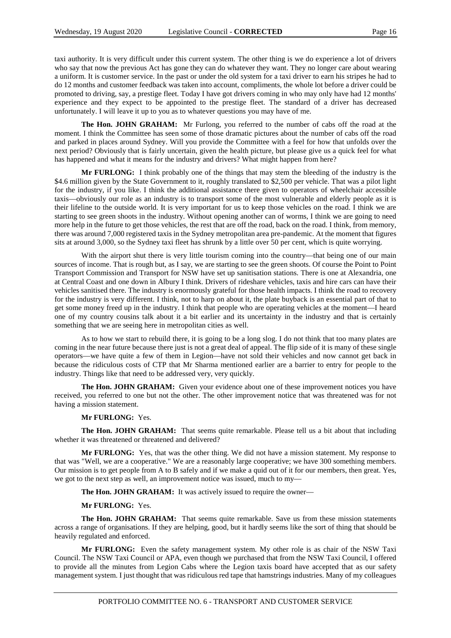taxi authority. It is very difficult under this current system. The other thing is we do experience a lot of drivers who say that now the previous Act has gone they can do whatever they want. They no longer care about wearing a uniform. It is customer service. In the past or under the old system for a taxi driver to earn his stripes he had to do 12 months and customer feedback was taken into account, compliments, the whole lot before a driver could be promoted to driving, say, a prestige fleet. Today I have got drivers coming in who may only have had 12 months' experience and they expect to be appointed to the prestige fleet. The standard of a driver has decreased unfortunately. I will leave it up to you as to whatever questions you may have of me.

**The Hon. JOHN GRAHAM:** Mr Furlong, you referred to the number of cabs off the road at the moment. I think the Committee has seen some of those dramatic pictures about the number of cabs off the road and parked in places around Sydney. Will you provide the Committee with a feel for how that unfolds over the next period? Obviously that is fairly uncertain, given the health picture, but please give us a quick feel for what has happened and what it means for the industry and drivers? What might happen from here?

**Mr FURLONG:** I think probably one of the things that may stem the bleeding of the industry is the \$4.6 million given by the State Government to it, roughly translated to \$2,500 per vehicle. That was a pilot light for the industry, if you like. I think the additional assistance there given to operators of wheelchair accessible taxis—obviously our role as an industry is to transport some of the most vulnerable and elderly people as it is their lifeline to the outside world. It is very important for us to keep those vehicles on the road. I think we are starting to see green shoots in the industry. Without opening another can of worms, I think we are going to need more help in the future to get those vehicles, the rest that are off the road, back on the road. I think, from memory, there was around 7,000 registered taxis in the Sydney metropolitan area pre-pandemic. At the moment that figures sits at around 3,000, so the Sydney taxi fleet has shrunk by a little over 50 per cent, which is quite worrying.

With the airport shut there is very little tourism coming into the country—that being one of our main sources of income. That is rough but, as I say, we are starting to see the green shoots. Of course the Point to Point Transport Commission and Transport for NSW have set up sanitisation stations. There is one at Alexandria, one at Central Coast and one down in Albury I think. Drivers of rideshare vehicles, taxis and hire cars can have their vehicles sanitised there. The industry is enormously grateful for those health impacts. I think the road to recovery for the industry is very different. I think, not to harp on about it, the plate buyback is an essential part of that to get some money freed up in the industry. I think that people who are operating vehicles at the moment—I heard one of my country cousins talk about it a bit earlier and its uncertainty in the industry and that is certainly something that we are seeing here in metropolitan cities as well.

As to how we start to rebuild there, it is going to be a long slog. I do not think that too many plates are coming in the near future because there just is not a great deal of appeal. The flip side of it is many of these single operators—we have quite a few of them in Legion—have not sold their vehicles and now cannot get back in because the ridiculous costs of CTP that Mr Sharma mentioned earlier are a barrier to entry for people to the industry. Things like that need to be addressed very, very quickly.

**The Hon. JOHN GRAHAM:** Given your evidence about one of these improvement notices you have received, you referred to one but not the other. The other improvement notice that was threatened was for not having a mission statement.

#### **Mr FURLONG:** Yes.

**The Hon. JOHN GRAHAM:** That seems quite remarkable. Please tell us a bit about that including whether it was threatened or threatened and delivered?

**Mr FURLONG:** Yes, that was the other thing. We did not have a mission statement. My response to that was "Well, we are a cooperative." We are a reasonably large cooperative; we have 300 something members. Our mission is to get people from A to B safely and if we make a quid out of it for our members, then great. Yes, we got to the next step as well, an improvement notice was issued, much to my-

The Hon. JOHN GRAHAM: It was actively issued to require the owner-

#### **Mr FURLONG:** Yes.

**The Hon. JOHN GRAHAM:** That seems quite remarkable. Save us from these mission statements across a range of organisations. If they are helping, good, but it hardly seems like the sort of thing that should be heavily regulated and enforced.

**Mr FURLONG:** Even the safety management system. My other role is as chair of the NSW Taxi Council. The NSW Taxi Council or APA, even though we purchased that from the NSW Taxi Council, I offered to provide all the minutes from Legion Cabs where the Legion taxis board have accepted that as our safety management system. I just thought that was ridiculous red tape that hamstrings industries. Many of my colleagues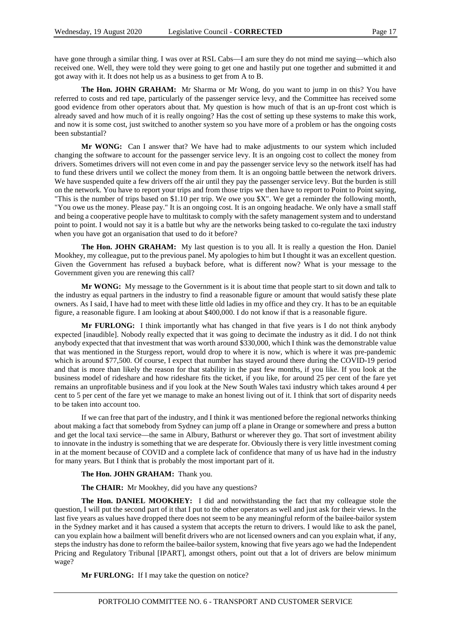have gone through a similar thing. I was over at RSL Cabs—I am sure they do not mind me saying—which also received one. Well, they were told they were going to get one and hastily put one together and submitted it and got away with it. It does not help us as a business to get from A to B.

**The Hon. JOHN GRAHAM:** Mr Sharma or Mr Wong, do you want to jump in on this? You have referred to costs and red tape, particularly of the passenger service levy, and the Committee has received some good evidence from other operators about that. My question is how much of that is an up-front cost which is already saved and how much of it is really ongoing? Has the cost of setting up these systems to make this work, and now it is some cost, just switched to another system so you have more of a problem or has the ongoing costs been substantial?

**Mr WONG:** Can I answer that? We have had to make adjustments to our system which included changing the software to account for the passenger service levy. It is an ongoing cost to collect the money from drivers. Sometimes drivers will not even come in and pay the passenger service levy so the network itself has had to fund these drivers until we collect the money from them. It is an ongoing battle between the network drivers. We have suspended quite a few drivers off the air until they pay the passenger service levy. But the burden is still on the network. You have to report your trips and from those trips we then have to report to Point to Point saying, "This is the number of trips based on \$1.10 per trip. We owe you \$X". We get a reminder the following month, "You owe us the money. Please pay." It is an ongoing cost. It is an ongoing headache. We only have a small staff and being a cooperative people have to multitask to comply with the safety management system and to understand point to point. I would not say it is a battle but why are the networks being tasked to co-regulate the taxi industry when you have got an organisation that used to do it before?

**The Hon. JOHN GRAHAM:** My last question is to you all. It is really a question the Hon. Daniel Mookhey, my colleague, put to the previous panel. My apologies to him but I thought it was an excellent question. Given the Government has refused a buyback before, what is different now? What is your message to the Government given you are renewing this call?

**Mr WONG:** My message to the Government is it is about time that people start to sit down and talk to the industry as equal partners in the industry to find a reasonable figure or amount that would satisfy these plate owners. As I said, I have had to meet with these little old ladies in my office and they cry. It has to be an equitable figure, a reasonable figure. I am looking at about \$400,000. I do not know if that is a reasonable figure.

**Mr FURLONG:** I think importantly what has changed in that five years is I do not think anybody expected [inaudible]. Nobody really expected that it was going to decimate the industry as it did. I do not think anybody expected that that investment that was worth around \$330,000, which I think was the demonstrable value that was mentioned in the Sturgess report, would drop to where it is now, which is where it was pre-pandemic which is around \$77,500. Of course, I expect that number has stayed around there during the COVID-19 period and that is more than likely the reason for that stability in the past few months, if you like. If you look at the business model of rideshare and how rideshare fits the ticket, if you like, for around 25 per cent of the fare yet remains an unprofitable business and if you look at the New South Wales taxi industry which takes around 4 per cent to 5 per cent of the fare yet we manage to make an honest living out of it. I think that sort of disparity needs to be taken into account too.

If we can free that part of the industry, and I think it was mentioned before the regional networks thinking about making a fact that somebody from Sydney can jump off a plane in Orange or somewhere and press a button and get the local taxi service—the same in Albury, Bathurst or wherever they go. That sort of investment ability to innovate in the industry is something that we are desperate for. Obviously there is very little investment coming in at the moment because of COVID and a complete lack of confidence that many of us have had in the industry for many years. But I think that is probably the most important part of it.

**The Hon. JOHN GRAHAM:** Thank you.

**The CHAIR:** Mr Mookhey, did you have any questions?

**The Hon. DANIEL MOOKHEY:** I did and notwithstanding the fact that my colleague stole the question, I will put the second part of it that I put to the other operators as well and just ask for their views. In the last five years as values have dropped there does not seem to be any meaningful reform of the bailee-bailor system in the Sydney market and it has caused a system that accepts the return to drivers. I would like to ask the panel, can you explain how a bailment will benefit drivers who are not licensed owners and can you explain what, if any, steps the industry has done to reform the bailee-bailor system, knowing that five years ago we had the Independent Pricing and Regulatory Tribunal [IPART], amongst others, point out that a lot of drivers are below minimum wage?

**Mr FURLONG:** If I may take the question on notice?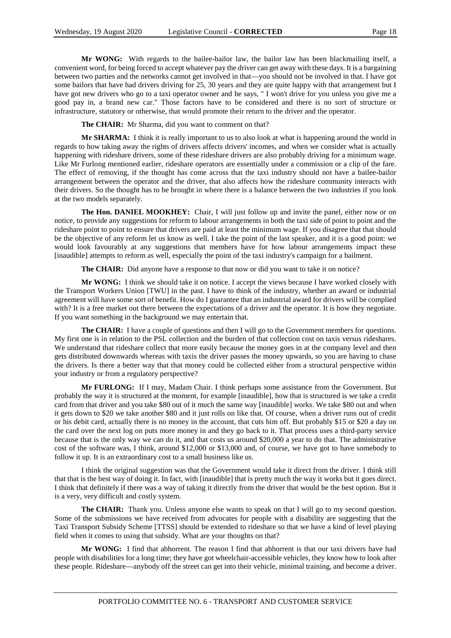**Mr WONG:** With regards to the bailee-bailor law, the bailor law has been blackmailing itself, a convenient word, for being forced to accept whatever pay the driver can get away with these days. It is a bargaining between two parties and the networks cannot get involved in that—you should not be involved in that. I have got some bailors that have had drivers driving for 25, 30 years and they are quite happy with that arrangement but I have got new drivers who go to a taxi operator owner and he says, " I won't drive for you unless you give me a good pay in, a brand new car." Those factors have to be considered and there is no sort of structure or infrastructure, statutory or otherwise, that would promote their return to the driver and the operator.

**The CHAIR:** Mr Sharma, did you want to comment on that?

**Mr SHARMA:** I think it is really important to us to also look at what is happening around the world in regards to how taking away the rights of drivers affects drivers' incomes, and when we consider what is actually happening with rideshare drivers, some of these rideshare drivers are also probably driving for a minimum wage. Like Mr Furlong mentioned earlier, rideshare operators are essentially under a commission or a clip of the fare. The effect of removing, if the thought has come across that the taxi industry should not have a bailee-bailor arrangement between the operator and the driver, that also affects how the rideshare community interacts with their drivers. So the thought has to be brought in where there is a balance between the two industries if you look at the two models separately.

**The Hon. DANIEL MOOKHEY:** Chair, I will just follow up and invite the panel, either now or on notice, to provide any suggestions for reform to labour arrangements in both the taxi side of point to point and the rideshare point to point to ensure that drivers are paid at least the minimum wage. If you disagree that that should be the objective of any reform let us know as well. I take the point of the last speaker, and it is a good point: we would look favourably at any suggestions that members have for how labour arrangements impact these [inaudible] attempts to reform as well, especially the point of the taxi industry's campaign for a bailment.

**The CHAIR:** Did anyone have a response to that now or did you want to take it on notice?

**Mr WONG:** I think we should take it on notice. I accept the views because I have worked closely with the Transport Workers Union [TWU] in the past. I have to think of the industry, whether an award or industrial agreement will have some sort of benefit. How do I guarantee that an industrial award for drivers will be complied with? It is a free market out there between the expectations of a driver and the operator. It is how they negotiate. If you want something in the background we may entertain that.

**The CHAIR:** I have a couple of questions and then I will go to the Government members for questions. My first one is in relation to the PSL collection and the burden of that collection cost on taxis versus rideshares. We understand that rideshare collect that more easily because the money goes in at the company level and then gets distributed downwards whereas with taxis the driver passes the money upwards, so you are having to chase the drivers. Is there a better way that that money could be collected either from a structural perspective within your industry or from a regulatory perspective?

**Mr FURLONG:** If I may, Madam Chair. I think perhaps some assistance from the Government. But probably the way it is structured at the moment, for example [inaudible], how that is structured is we take a credit card from that driver and you take \$80 out of it much the same way [inaudible] works. We take \$80 out and when it gets down to \$20 we take another \$80 and it just rolls on like that. Of course, when a driver runs out of credit or his debit card, actually there is no money in the account, that cuts him off. But probably \$15 or \$20 a day on the card over the next log on puts more money in and they go back to it. That process uses a third-party service because that is the only way we can do it, and that costs us around \$20,000 a year to do that. The administrative cost of the software was, I think, around \$12,000 or \$13,000 and, of course, we have got to have somebody to follow it up. It is an extraordinary cost to a small business like us.

I think the original suggestion was that the Government would take it direct from the driver. I think still that that is the best way of doing it. In fact, with [inaudible] that is pretty much the way it works but it goes direct. I think that definitely if there was a way of taking it directly from the driver that would be the best option. But it is a very, very difficult and costly system.

**The CHAIR:** Thank you. Unless anyone else wants to speak on that I will go to my second question. Some of the submissions we have received from advocates for people with a disability are suggesting that the Taxi Transport Subsidy Scheme [TTSS] should be extended to rideshare so that we have a kind of level playing field when it comes to using that subsidy. What are your thoughts on that?

**Mr WONG:** I find that abhorrent. The reason I find that abhorrent is that our taxi drivers have had people with disabilities for a long time; they have got wheelchair-accessible vehicles, they know how to look after these people. Rideshare—anybody off the street can get into their vehicle, minimal training, and become a driver.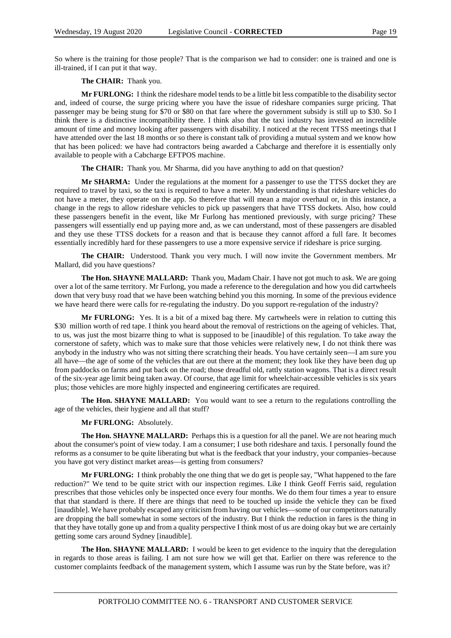So where is the training for those people? That is the comparison we had to consider: one is trained and one is ill-trained, if I can put it that way.

**The CHAIR:** Thank you.

**Mr FURLONG:** I think the rideshare model tends to be a little bit less compatible to the disability sector and, indeed of course, the surge pricing where you have the issue of rideshare companies surge pricing. That passenger may be being stung for \$70 or \$80 on that fare where the government subsidy is still up to \$30. So I think there is a distinctive incompatibility there. I think also that the taxi industry has invested an incredible amount of time and money looking after passengers with disability. I noticed at the recent TTSS meetings that I have attended over the last 18 months or so there is constant talk of providing a mutual system and we know how that has been policed: we have had contractors being awarded a Cabcharge and therefore it is essentially only available to people with a Cabcharge EFTPOS machine.

**The CHAIR:** Thank you. Mr Sharma, did you have anything to add on that question?

**Mr SHARMA:** Under the regulations at the moment for a passenger to use the TTSS docket they are required to travel by taxi, so the taxi is required to have a meter. My understanding is that rideshare vehicles do not have a meter, they operate on the app. So therefore that will mean a major overhaul or, in this instance, a change in the regs to allow rideshare vehicles to pick up passengers that have TTSS dockets. Also, how could these passengers benefit in the event, like Mr Furlong has mentioned previously, with surge pricing? These passengers will essentially end up paying more and, as we can understand, most of these passengers are disabled and they use these TTSS dockets for a reason and that is because they cannot afford a full fare. It becomes essentially incredibly hard for these passengers to use a more expensive service if rideshare is price surging.

**The CHAIR:** Understood. Thank you very much. I will now invite the Government members. Mr Mallard, did you have questions?

**The Hon. SHAYNE MALLARD:** Thank you, Madam Chair. I have not got much to ask. We are going over a lot of the same territory. Mr Furlong, you made a reference to the deregulation and how you did cartwheels down that very busy road that we have been watching behind you this morning. In some of the previous evidence we have heard there were calls for re-regulating the industry. Do you support re-regulation of the industry?

**Mr FURLONG:** Yes. It is a bit of a mixed bag there. My cartwheels were in relation to cutting this \$30 million worth of red tape. I think you heard about the removal of restrictions on the ageing of vehicles. That, to us, was just the most bizarre thing to what is supposed to be [inaudible] of this regulation. To take away the cornerstone of safety, which was to make sure that those vehicles were relatively new, I do not think there was anybody in the industry who was not sitting there scratching their heads. You have certainly seen—I am sure you all have—the age of some of the vehicles that are out there at the moment; they look like they have been dug up from paddocks on farms and put back on the road; those dreadful old, rattly station wagons. That is a direct result of the six-year age limit being taken away. Of course, that age limit for wheelchair-accessible vehicles is six years plus; those vehicles are more highly inspected and engineering certificates are required.

**The Hon. SHAYNE MALLARD:** You would want to see a return to the regulations controlling the age of the vehicles, their hygiene and all that stuff?

#### **Mr FURLONG:** Absolutely.

**The Hon. SHAYNE MALLARD:** Perhaps this is a question for all the panel. We are not hearing much about the consumer's point of view today. I am a consumer; I use both rideshare and taxis. I personally found the reforms as a consumer to be quite liberating but what is the feedback that your industry, your companies–because you have got very distinct market areas—is getting from consumers?

**Mr FURLONG:** I think probably the one thing that we do get is people say, "What happened to the fare reduction?" We tend to be quite strict with our inspection regimes. Like I think Geoff Ferris said, regulation prescribes that those vehicles only be inspected once every four months. We do them four times a year to ensure that that standard is there. If there are things that need to be touched up inside the vehicle they can be fixed [inaudible]. We have probably escaped any criticism from having our vehicles—some of our competitors naturally are dropping the ball somewhat in some sectors of the industry. But I think the reduction in fares is the thing in that they have totally gone up and from a quality perspective I think most of us are doing okay but we are certainly getting some cars around Sydney [inaudible].

**The Hon. SHAYNE MALLARD:** I would be keen to get evidence to the inquiry that the deregulation in regards to those areas is failing. I am not sure how we will get that. Earlier on there was reference to the customer complaints feedback of the management system, which I assume was run by the State before, was it?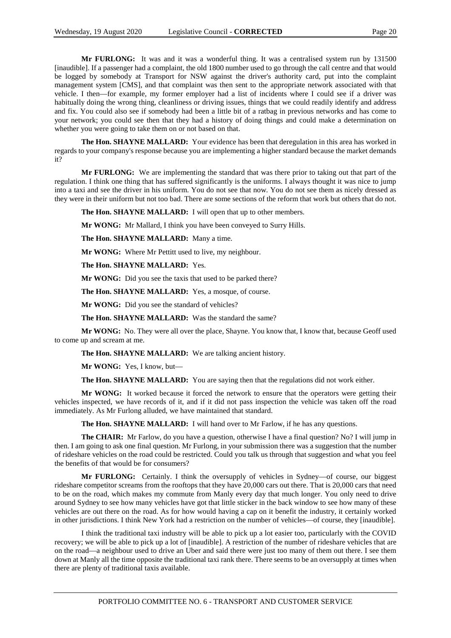**Mr FURLONG:** It was and it was a wonderful thing. It was a centralised system run by 131500 [inaudible]. If a passenger had a complaint, the old 1800 number used to go through the call centre and that would be logged by somebody at Transport for NSW against the driver's authority card, put into the complaint management system [CMS], and that complaint was then sent to the appropriate network associated with that vehicle. I then—for example, my former employer had a list of incidents where I could see if a driver was habitually doing the wrong thing, cleanliness or driving issues, things that we could readily identify and address and fix. You could also see if somebody had been a little bit of a ratbag in previous networks and has come to your network; you could see then that they had a history of doing things and could make a determination on whether you were going to take them on or not based on that.

**The Hon. SHAYNE MALLARD:** Your evidence has been that deregulation in this area has worked in regards to your company's response because you are implementing a higher standard because the market demands it?

**Mr FURLONG:** We are implementing the standard that was there prior to taking out that part of the regulation. I think one thing that has suffered significantly is the uniforms. I always thought it was nice to jump into a taxi and see the driver in his uniform. You do not see that now. You do not see them as nicely dressed as they were in their uniform but not too bad. There are some sections of the reform that work but others that do not.

**The Hon. SHAYNE MALLARD:** I will open that up to other members.

**Mr WONG:** Mr Mallard, I think you have been conveyed to Surry Hills.

**The Hon. SHAYNE MALLARD:** Many a time.

**Mr WONG:** Where Mr Pettitt used to live, my neighbour.

**The Hon. SHAYNE MALLARD:** Yes.

**Mr WONG:** Did you see the taxis that used to be parked there?

**The Hon. SHAYNE MALLARD:** Yes, a mosque, of course.

**Mr WONG:** Did you see the standard of vehicles?

**The Hon. SHAYNE MALLARD:** Was the standard the same?

**Mr WONG:** No. They were all over the place, Shayne. You know that, I know that, because Geoff used to come up and scream at me.

**The Hon. SHAYNE MALLARD:** We are talking ancient history.

**Mr WONG:** Yes, I know, but—

**The Hon. SHAYNE MALLARD:** You are saying then that the regulations did not work either.

**Mr WONG:** It worked because it forced the network to ensure that the operators were getting their vehicles inspected, we have records of it, and if it did not pass inspection the vehicle was taken off the road immediately. As Mr Furlong alluded, we have maintained that standard.

**The Hon. SHAYNE MALLARD:** I will hand over to Mr Farlow, if he has any questions.

**The CHAIR:** Mr Farlow, do you have a question, otherwise I have a final question? No? I will jump in then. I am going to ask one final question. Mr Furlong, in your submission there was a suggestion that the number of rideshare vehicles on the road could be restricted. Could you talk us through that suggestion and what you feel the benefits of that would be for consumers?

**Mr FURLONG:** Certainly. I think the oversupply of vehicles in Sydney—of course, our biggest rideshare competitor screams from the rooftops that they have 20,000 cars out there. That is 20,000 cars that need to be on the road, which makes my commute from Manly every day that much longer. You only need to drive around Sydney to see how many vehicles have got that little sticker in the back window to see how many of these vehicles are out there on the road. As for how would having a cap on it benefit the industry, it certainly worked in other jurisdictions. I think New York had a restriction on the number of vehicles—of course, they [inaudible].

I think the traditional taxi industry will be able to pick up a lot easier too, particularly with the COVID recovery; we will be able to pick up a lot of [inaudible]. A restriction of the number of rideshare vehicles that are on the road—a neighbour used to drive an Uber and said there were just too many of them out there. I see them down at Manly all the time opposite the traditional taxi rank there. There seems to be an oversupply at times when there are plenty of traditional taxis available.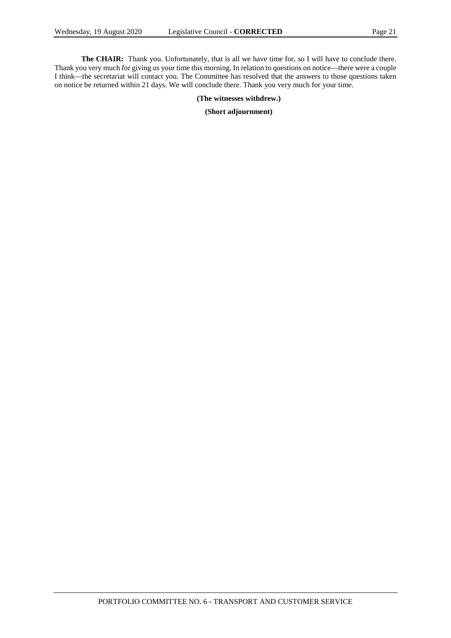**The CHAIR:** Thank you. Unfortunately, that is all we have time for, so I will have to conclude there. Thank you very much for giving us your time this morning. In relation to questions on notice—there were a couple I think—the secretariat will contact you. The Committee has resolved that the answers to those questions taken on notice be returned within 21 days. We will conclude there. Thank you very much for your time.

#### **(The witnesses withdrew.)**

#### **(Short adjournment)**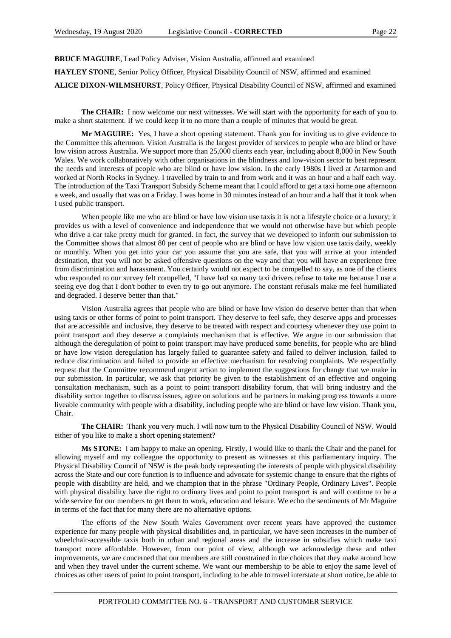**BRUCE MAGUIRE**, Lead Policy Adviser, Vision Australia, affirmed and examined

**HAYLEY STONE**, Senior Policy Officer, Physical Disability Council of NSW, affirmed and examined

**ALICE DIXON-WILMSHURST**, Policy Officer, Physical Disability Council of NSW, affirmed and examined

**The CHAIR:** I now welcome our next witnesses. We will start with the opportunity for each of you to make a short statement. If we could keep it to no more than a couple of minutes that would be great.

**Mr MAGUIRE:** Yes, I have a short opening statement. Thank you for inviting us to give evidence to the Committee this afternoon. Vision Australia is the largest provider of services to people who are blind or have low vision across Australia. We support more than 25,000 clients each year, including about 8,000 in New South Wales. We work collaboratively with other organisations in the blindness and low-vision sector to best represent the needs and interests of people who are blind or have low vision. In the early 1980s I lived at Artarmon and worked at North Rocks in Sydney. I travelled by train to and from work and it was an hour and a half each way. The introduction of the Taxi Transport Subsidy Scheme meant that I could afford to get a taxi home one afternoon a week, and usually that was on a Friday. I was home in 30 minutes instead of an hour and a half that it took when I used public transport.

When people like me who are blind or have low vision use taxis it is not a lifestyle choice or a luxury; it provides us with a level of convenience and independence that we would not otherwise have but which people who drive a car take pretty much for granted. In fact, the survey that we developed to inform our submission to the Committee shows that almost 80 per cent of people who are blind or have low vision use taxis daily, weekly or monthly. When you get into your car you assume that you are safe, that you will arrive at your intended destination, that you will not be asked offensive questions on the way and that you will have an experience free from discrimination and harassment. You certainly would not expect to be compelled to say, as one of the clients who responded to our survey felt compelled, "I have had so many taxi drivers refuse to take me because I use a seeing eye dog that I don't bother to even try to go out anymore. The constant refusals make me feel humiliated and degraded. I deserve better than that."

Vision Australia agrees that people who are blind or have low vision do deserve better than that when using taxis or other forms of point to point transport. They deserve to feel safe, they deserve apps and processes that are accessible and inclusive, they deserve to be treated with respect and courtesy whenever they use point to point transport and they deserve a complaints mechanism that is effective. We argue in our submission that although the deregulation of point to point transport may have produced some benefits, for people who are blind or have low vision deregulation has largely failed to guarantee safety and failed to deliver inclusion, failed to reduce discrimination and failed to provide an effective mechanism for resolving complaints. We respectfully request that the Committee recommend urgent action to implement the suggestions for change that we make in our submission. In particular, we ask that priority be given to the establishment of an effective and ongoing consultation mechanism, such as a point to point transport disability forum, that will bring industry and the disability sector together to discuss issues, agree on solutions and be partners in making progress towards a more liveable community with people with a disability, including people who are blind or have low vision. Thank you, Chair.

**The CHAIR:** Thank you very much. I will now turn to the Physical Disability Council of NSW. Would either of you like to make a short opening statement?

**Ms STONE:** I am happy to make an opening. Firstly, I would like to thank the Chair and the panel for allowing myself and my colleague the opportunity to present as witnesses at this parliamentary inquiry. The Physical Disability Council of NSW is the peak body representing the interests of people with physical disability across the State and our core function is to influence and advocate for systemic change to ensure that the rights of people with disability are held, and we champion that in the phrase "Ordinary People, Ordinary Lives". People with physical disability have the right to ordinary lives and point to point transport is and will continue to be a wide service for our members to get them to work, education and leisure. We echo the sentiments of Mr Maguire in terms of the fact that for many there are no alternative options.

The efforts of the New South Wales Government over recent years have approved the customer experience for many people with physical disabilities and, in particular, we have seen increases in the number of wheelchair-accessible taxis both in urban and regional areas and the increase in subsidies which make taxi transport more affordable. However, from our point of view, although we acknowledge these and other improvements, we are concerned that our members are still constrained in the choices that they make around how and when they travel under the current scheme. We want our membership to be able to enjoy the same level of choices as other users of point to point transport, including to be able to travel interstate at short notice, be able to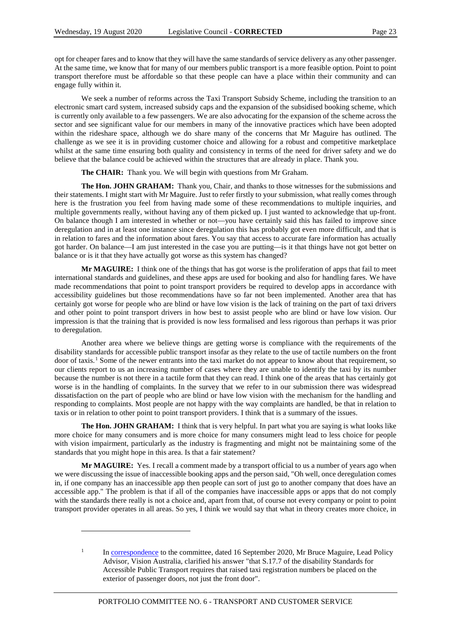opt for cheaper fares and to know that they will have the same standards of service delivery as any other passenger. At the same time, we know that for many of our members public transport is a more feasible option. Point to point transport therefore must be affordable so that these people can have a place within their community and can engage fully within it.

We seek a number of reforms across the Taxi Transport Subsidy Scheme, including the transition to an electronic smart card system, increased subsidy caps and the expansion of the subsidised booking scheme, which is currently only available to a few passengers. We are also advocating for the expansion of the scheme across the sector and see significant value for our members in many of the innovative practices which have been adopted within the rideshare space, although we do share many of the concerns that Mr Maguire has outlined. The challenge as we see it is in providing customer choice and allowing for a robust and competitive marketplace whilst at the same time ensuring both quality and consistency in terms of the need for driver safety and we do believe that the balance could be achieved within the structures that are already in place. Thank you.

**The CHAIR:** Thank you. We will begin with questions from Mr Graham.

**The Hon. JOHN GRAHAM:** Thank you, Chair, and thanks to those witnesses for the submissions and their statements. I might start with Mr Maguire. Just to refer firstly to your submission, what really comes through here is the frustration you feel from having made some of these recommendations to multiple inquiries, and multiple governments really, without having any of them picked up. I just wanted to acknowledge that up-front. On balance though I am interested in whether or not—you have certainly said this has failed to improve since deregulation and in at least one instance since deregulation this has probably got even more difficult, and that is in relation to fares and the information about fares. You say that access to accurate fare information has actually got harder. On balance—I am just interested in the case you are putting—is it that things have not got better on balance or is it that they have actually got worse as this system has changed?

**Mr MAGUIRE:** I think one of the things that has got worse is the proliferation of apps that fail to meet international standards and guidelines, and these apps are used for booking and also for handling fares. We have made recommendations that point to point transport providers be required to develop apps in accordance with accessibility guidelines but those recommendations have so far not been implemented. Another area that has certainly got worse for people who are blind or have low vision is the lack of training on the part of taxi drivers and other point to point transport drivers in how best to assist people who are blind or have low vision. Our impression is that the training that is provided is now less formalised and less rigorous than perhaps it was prior to deregulation.

Another area where we believe things are getting worse is compliance with the requirements of the disability standards for accessible public transport insofar as they relate to the use of tactile numbers on the front door of taxis.<sup>[1](#page-22-0)</sup> Some of the newer entrants into the taxi market do not appear to know about that requirement, so our clients report to us an increasing number of cases where they are unable to identify the taxi by its number because the number is not there in a tactile form that they can read. I think one of the areas that has certainly got worse is in the handling of complaints. In the survey that we refer to in our submission there was widespread dissatisfaction on the part of people who are blind or have low vision with the mechanism for the handling and responding to complaints. Most people are not happy with the way complaints are handled, be that in relation to taxis or in relation to other point to point transport providers. I think that is a summary of the issues.

**The Hon. JOHN GRAHAM:** I think that is very helpful. In part what you are saying is what looks like more choice for many consumers and is more choice for many consumers might lead to less choice for people with vision impairment, particularly as the industry is fragmenting and might not be maintaining some of the standards that you might hope in this area. Is that a fair statement?

**Mr MAGUIRE:** Yes. I recall a comment made by a transport official to us a number of years ago when we were discussing the issue of inaccessible booking apps and the person said, "Oh well, once deregulation comes in, if one company has an inaccessible app then people can sort of just go to another company that does have an accessible app." The problem is that if all of the companies have inaccessible apps or apps that do not comply with the standards there really is not a choice and, apart from that, of course not every company or point to point transport provider operates in all areas. So yes, I think we would say that what in theory creates more choice, in

 $\overline{a}$ 

<span id="page-22-0"></span><sup>&</sup>lt;sup>1</sup> I[n correspondence](https://www.parliament.nsw.gov.au/committees/inquiries/Pages/inquiry-details.aspx?pk=2594#tab-otherdocuments) to the committee, dated 16 September 2020, Mr Bruce Maguire, Lead Policy Advisor, Vision Australia, clarified his answer "that S.17.7 of the disability Standards for Accessible Public Transport requires that raised taxi registration numbers be placed on the exterior of passenger doors, not just the front door".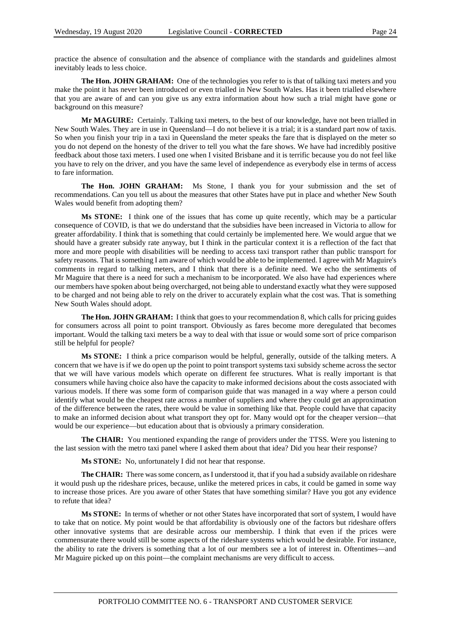practice the absence of consultation and the absence of compliance with the standards and guidelines almost inevitably leads to less choice.

**The Hon. JOHN GRAHAM:** One of the technologies you refer to is that of talking taxi meters and you make the point it has never been introduced or even trialled in New South Wales. Has it been trialled elsewhere that you are aware of and can you give us any extra information about how such a trial might have gone or background on this measure?

**Mr MAGUIRE:** Certainly. Talking taxi meters, to the best of our knowledge, have not been trialled in New South Wales. They are in use in Queensland—I do not believe it is a trial; it is a standard part now of taxis. So when you finish your trip in a taxi in Queensland the meter speaks the fare that is displayed on the meter so you do not depend on the honesty of the driver to tell you what the fare shows. We have had incredibly positive feedback about those taxi meters. I used one when I visited Brisbane and it is terrific because you do not feel like you have to rely on the driver, and you have the same level of independence as everybody else in terms of access to fare information.

**The Hon. JOHN GRAHAM:** Ms Stone, I thank you for your submission and the set of recommendations. Can you tell us about the measures that other States have put in place and whether New South Wales would benefit from adopting them?

**Ms STONE:** I think one of the issues that has come up quite recently, which may be a particular consequence of COVID, is that we do understand that the subsidies have been increased in Victoria to allow for greater affordability. I think that is something that could certainly be implemented here. We would argue that we should have a greater subsidy rate anyway, but I think in the particular context it is a reflection of the fact that more and more people with disabilities will be needing to access taxi transport rather than public transport for safety reasons. That is something I am aware of which would be able to be implemented. I agree with Mr Maguire's comments in regard to talking meters, and I think that there is a definite need. We echo the sentiments of Mr Maguire that there is a need for such a mechanism to be incorporated. We also have had experiences where our members have spoken about being overcharged, not being able to understand exactly what they were supposed to be charged and not being able to rely on the driver to accurately explain what the cost was. That is something New South Wales should adopt.

**The Hon. JOHN GRAHAM:** I think that goes to your recommendation 8, which calls for pricing guides for consumers across all point to point transport. Obviously as fares become more deregulated that becomes important. Would the talking taxi meters be a way to deal with that issue or would some sort of price comparison still be helpful for people?

**Ms STONE:** I think a price comparison would be helpful, generally, outside of the talking meters. A concern that we have is if we do open up the point to point transport systems taxi subsidy scheme across the sector that we will have various models which operate on different fee structures. What is really important is that consumers while having choice also have the capacity to make informed decisions about the costs associated with various models. If there was some form of comparison guide that was managed in a way where a person could identify what would be the cheapest rate across a number of suppliers and where they could get an approximation of the difference between the rates, there would be value in something like that. People could have that capacity to make an informed decision about what transport they opt for. Many would opt for the cheaper version—that would be our experience—but education about that is obviously a primary consideration.

**The CHAIR:** You mentioned expanding the range of providers under the TTSS. Were you listening to the last session with the metro taxi panel where I asked them about that idea? Did you hear their response?

**Ms STONE:** No, unfortunately I did not hear that response.

**The CHAIR:** There was some concern, as I understood it, that if you had a subsidy available on rideshare it would push up the rideshare prices, because, unlike the metered prices in cabs, it could be gamed in some way to increase those prices. Are you aware of other States that have something similar? Have you got any evidence to refute that idea?

**Ms STONE:** In terms of whether or not other States have incorporated that sort of system, I would have to take that on notice. My point would be that affordability is obviously one of the factors but rideshare offers other innovative systems that are desirable across our membership. I think that even if the prices were commensurate there would still be some aspects of the rideshare systems which would be desirable. For instance, the ability to rate the drivers is something that a lot of our members see a lot of interest in. Oftentimes—and Mr Maguire picked up on this point—the complaint mechanisms are very difficult to access.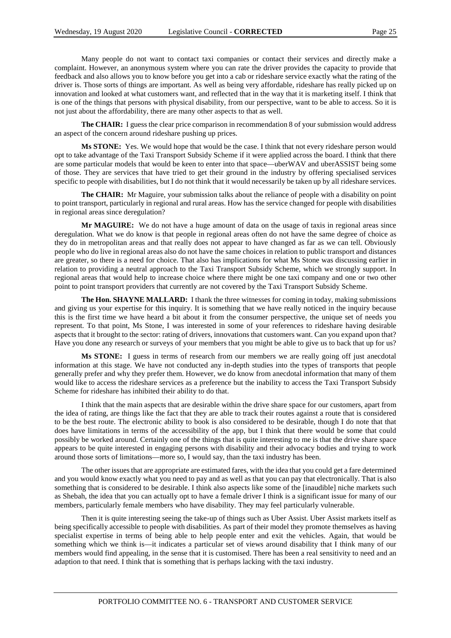Many people do not want to contact taxi companies or contact their services and directly make a complaint. However, an anonymous system where you can rate the driver provides the capacity to provide that feedback and also allows you to know before you get into a cab or rideshare service exactly what the rating of the driver is. Those sorts of things are important. As well as being very affordable, rideshare has really picked up on innovation and looked at what customers want, and reflected that in the way that it is marketing itself. I think that is one of the things that persons with physical disability, from our perspective, want to be able to access. So it is not just about the affordability, there are many other aspects to that as well.

**The CHAIR:** I guess the clear price comparison in recommendation 8 of your submission would address an aspect of the concern around rideshare pushing up prices.

**Ms STONE:** Yes. We would hope that would be the case. I think that not every rideshare person would opt to take advantage of the Taxi Transport Subsidy Scheme if it were applied across the board. I think that there are some particular models that would be keen to enter into that space—uberWAV and uberASSIST being some of those. They are services that have tried to get their ground in the industry by offering specialised services specific to people with disabilities, but I do not think that it would necessarily be taken up by all rideshare services.

**The CHAIR:** Mr Maguire, your submission talks about the reliance of people with a disability on point to point transport, particularly in regional and rural areas. How has the service changed for people with disabilities in regional areas since deregulation?

**Mr MAGUIRE:** We do not have a huge amount of data on the usage of taxis in regional areas since deregulation. What we do know is that people in regional areas often do not have the same degree of choice as they do in metropolitan areas and that really does not appear to have changed as far as we can tell. Obviously people who do live in regional areas also do not have the same choices in relation to public transport and distances are greater, so there is a need for choice. That also has implications for what Ms Stone was discussing earlier in relation to providing a neutral approach to the Taxi Transport Subsidy Scheme, which we strongly support. In regional areas that would help to increase choice where there might be one taxi company and one or two other point to point transport providers that currently are not covered by the Taxi Transport Subsidy Scheme.

**The Hon. SHAYNE MALLARD:** I thank the three witnesses for coming in today, making submissions and giving us your expertise for this inquiry. It is something that we have really noticed in the inquiry because this is the first time we have heard a bit about it from the consumer perspective, the unique set of needs you represent. To that point, Ms Stone, I was interested in some of your references to rideshare having desirable aspects that it brought to the sector: rating of drivers, innovations that customers want. Can you expand upon that? Have you done any research or surveys of your members that you might be able to give us to back that up for us?

**Ms STONE:** I guess in terms of research from our members we are really going off just anecdotal information at this stage. We have not conducted any in-depth studies into the types of transports that people generally prefer and why they prefer them. However, we do know from anecdotal information that many of them would like to access the rideshare services as a preference but the inability to access the Taxi Transport Subsidy Scheme for rideshare has inhibited their ability to do that.

I think that the main aspects that are desirable within the drive share space for our customers, apart from the idea of rating, are things like the fact that they are able to track their routes against a route that is considered to be the best route. The electronic ability to book is also considered to be desirable, though I do note that that does have limitations in terms of the accessibility of the app, but I think that there would be some that could possibly be worked around. Certainly one of the things that is quite interesting to me is that the drive share space appears to be quite interested in engaging persons with disability and their advocacy bodies and trying to work around those sorts of limitations—more so, I would say, than the taxi industry has been.

The other issues that are appropriate are estimated fares, with the idea that you could get a fare determined and you would know exactly what you need to pay and as well as that you can pay that electronically. That is also something that is considered to be desirable. I think also aspects like some of the [inaudible] niche markets such as Shebah, the idea that you can actually opt to have a female driver I think is a significant issue for many of our members, particularly female members who have disability. They may feel particularly vulnerable.

Then it is quite interesting seeing the take-up of things such as Uber Assist. Uber Assist markets itself as being specifically accessible to people with disabilities. As part of their model they promote themselves as having specialist expertise in terms of being able to help people enter and exit the vehicles. Again, that would be something which we think is—it indicates a particular set of views around disability that I think many of our members would find appealing, in the sense that it is customised. There has been a real sensitivity to need and an adaption to that need. I think that is something that is perhaps lacking with the taxi industry.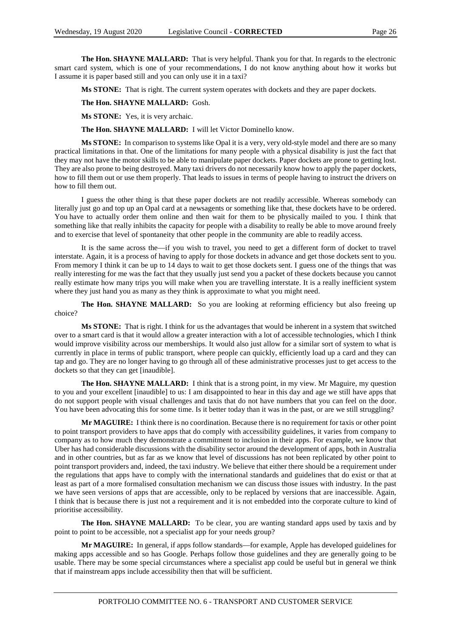**The Hon. SHAYNE MALLARD:** That is very helpful. Thank you for that. In regards to the electronic smart card system, which is one of your recommendations, I do not know anything about how it works but I assume it is paper based still and you can only use it in a taxi?

**Ms STONE:** That is right. The current system operates with dockets and they are paper dockets.

**The Hon. SHAYNE MALLARD:** Gosh.

**Ms STONE:** Yes, it is very archaic.

**The Hon. SHAYNE MALLARD:** I will let Victor Dominello know.

**Ms STONE:** In comparison to systems like Opal it is a very, very old-style model and there are so many practical limitations in that. One of the limitations for many people with a physical disability is just the fact that they may not have the motor skills to be able to manipulate paper dockets. Paper dockets are prone to getting lost. They are also prone to being destroyed. Many taxi drivers do not necessarily know how to apply the paper dockets, how to fill them out or use them properly. That leads to issues in terms of people having to instruct the drivers on how to fill them out.

I guess the other thing is that these paper dockets are not readily accessible. Whereas somebody can literally just go and top up an Opal card at a newsagents or something like that, these dockets have to be ordered. You have to actually order them online and then wait for them to be physically mailed to you. I think that something like that really inhibits the capacity for people with a disability to really be able to move around freely and to exercise that level of spontaneity that other people in the community are able to readily access.

It is the same across the—if you wish to travel, you need to get a different form of docket to travel interstate. Again, it is a process of having to apply for those dockets in advance and get those dockets sent to you. From memory I think it can be up to 14 days to wait to get those dockets sent. I guess one of the things that was really interesting for me was the fact that they usually just send you a packet of these dockets because you cannot really estimate how many trips you will make when you are travelling interstate. It is a really inefficient system where they just hand you as many as they think is approximate to what you might need.

**The Hon. SHAYNE MALLARD:** So you are looking at reforming efficiency but also freeing up choice?

**Ms STONE:** That is right. I think for us the advantages that would be inherent in a system that switched over to a smart card is that it would allow a greater interaction with a lot of accessible technologies, which I think would improve visibility across our memberships. It would also just allow for a similar sort of system to what is currently in place in terms of public transport, where people can quickly, efficiently load up a card and they can tap and go. They are no longer having to go through all of these administrative processes just to get access to the dockets so that they can get [inaudible].

**The Hon. SHAYNE MALLARD:** I think that is a strong point, in my view. Mr Maguire, my question to you and your excellent [inaudible] to us: I am disappointed to hear in this day and age we still have apps that do not support people with visual challenges and taxis that do not have numbers that you can feel on the door. You have been advocating this for some time. Is it better today than it was in the past, or are we still struggling?

**Mr MAGUIRE:** I think there is no coordination. Because there is no requirement for taxis or other point to point transport providers to have apps that do comply with accessibility guidelines, it varies from company to company as to how much they demonstrate a commitment to inclusion in their apps. For example, we know that Uber has had considerable discussions with the disability sector around the development of apps, both in Australia and in other countries, but as far as we know that level of discussions has not been replicated by other point to point transport providers and, indeed, the taxi industry. We believe that either there should be a requirement under the regulations that apps have to comply with the international standards and guidelines that do exist or that at least as part of a more formalised consultation mechanism we can discuss those issues with industry. In the past we have seen versions of apps that are accessible, only to be replaced by versions that are inaccessible. Again, I think that is because there is just not a requirement and it is not embedded into the corporate culture to kind of prioritise accessibility.

**The Hon. SHAYNE MALLARD:** To be clear, you are wanting standard apps used by taxis and by point to point to be accessible, not a specialist app for your needs group?

**Mr MAGUIRE:** In general, if apps follow standards—for example, Apple has developed guidelines for making apps accessible and so has Google. Perhaps follow those guidelines and they are generally going to be usable. There may be some special circumstances where a specialist app could be useful but in general we think that if mainstream apps include accessibility then that will be sufficient.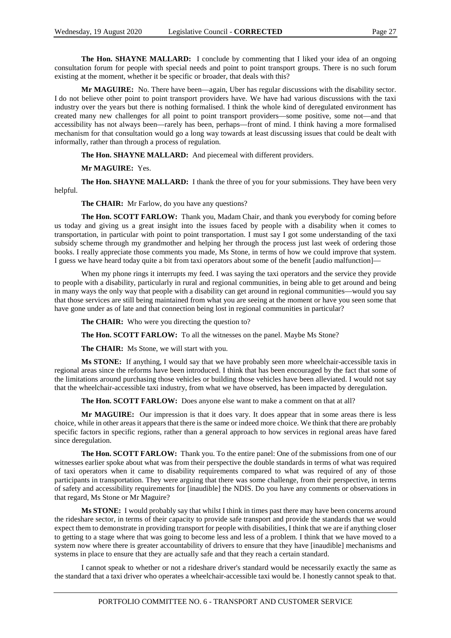**The Hon. SHAYNE MALLARD:** I conclude by commenting that I liked your idea of an ongoing consultation forum for people with special needs and point to point transport groups. There is no such forum existing at the moment, whether it be specific or broader, that deals with this?

**Mr MAGUIRE:** No. There have been—again, Uber has regular discussions with the disability sector. I do not believe other point to point transport providers have. We have had various discussions with the taxi industry over the years but there is nothing formalised. I think the whole kind of deregulated environment has created many new challenges for all point to point transport providers—some positive, some not—and that accessibility has not always been—rarely has been, perhaps—front of mind. I think having a more formalised mechanism for that consultation would go a long way towards at least discussing issues that could be dealt with informally, rather than through a process of regulation.

#### **The Hon. SHAYNE MALLARD:** And piecemeal with different providers.

**Mr MAGUIRE:** Yes.

**The Hon. SHAYNE MALLARD:** I thank the three of you for your submissions. They have been very helpful.

**The CHAIR:** Mr Farlow, do you have any questions?

**The Hon. SCOTT FARLOW:** Thank you, Madam Chair, and thank you everybody for coming before us today and giving us a great insight into the issues faced by people with a disability when it comes to transportation, in particular with point to point transportation. I must say I got some understanding of the taxi subsidy scheme through my grandmother and helping her through the process just last week of ordering those books. I really appreciate those comments you made, Ms Stone, in terms of how we could improve that system. I guess we have heard today quite a bit from taxi operators about some of the benefit [audio malfunction]—

When my phone rings it interrupts my feed. I was saying the taxi operators and the service they provide to people with a disability, particularly in rural and regional communities, in being able to get around and being in many ways the only way that people with a disability can get around in regional communities—would you say that those services are still being maintained from what you are seeing at the moment or have you seen some that have gone under as of late and that connection being lost in regional communities in particular?

**The CHAIR:** Who were you directing the question to?

**The Hon. SCOTT FARLOW:** To all the witnesses on the panel. Maybe Ms Stone?

**The CHAIR:** Ms Stone, we will start with you.

**Ms STONE:** If anything, I would say that we have probably seen more wheelchair-accessible taxis in regional areas since the reforms have been introduced. I think that has been encouraged by the fact that some of the limitations around purchasing those vehicles or building those vehicles have been alleviated. I would not say that the wheelchair-accessible taxi industry, from what we have observed, has been impacted by deregulation.

**The Hon. SCOTT FARLOW:** Does anyone else want to make a comment on that at all?

**Mr MAGUIRE:** Our impression is that it does vary. It does appear that in some areas there is less choice, while in other areas it appears that there is the same or indeed more choice. We think that there are probably specific factors in specific regions, rather than a general approach to how services in regional areas have fared since deregulation.

**The Hon. SCOTT FARLOW:** Thank you. To the entire panel: One of the submissions from one of our witnesses earlier spoke about what was from their perspective the double standards in terms of what was required of taxi operators when it came to disability requirements compared to what was required of any of those participants in transportation. They were arguing that there was some challenge, from their perspective, in terms of safety and accessibility requirements for [inaudible] the NDIS. Do you have any comments or observations in that regard, Ms Stone or Mr Maguire?

**Ms STONE:** I would probably say that whilst I think in times past there may have been concerns around the rideshare sector, in terms of their capacity to provide safe transport and provide the standards that we would expect them to demonstrate in providing transport for people with disabilities, I think that we are if anything closer to getting to a stage where that was going to become less and less of a problem. I think that we have moved to a system now where there is greater accountability of drivers to ensure that they have [inaudible] mechanisms and systems in place to ensure that they are actually safe and that they reach a certain standard.

I cannot speak to whether or not a rideshare driver's standard would be necessarily exactly the same as the standard that a taxi driver who operates a wheelchair-accessible taxi would be. I honestly cannot speak to that.